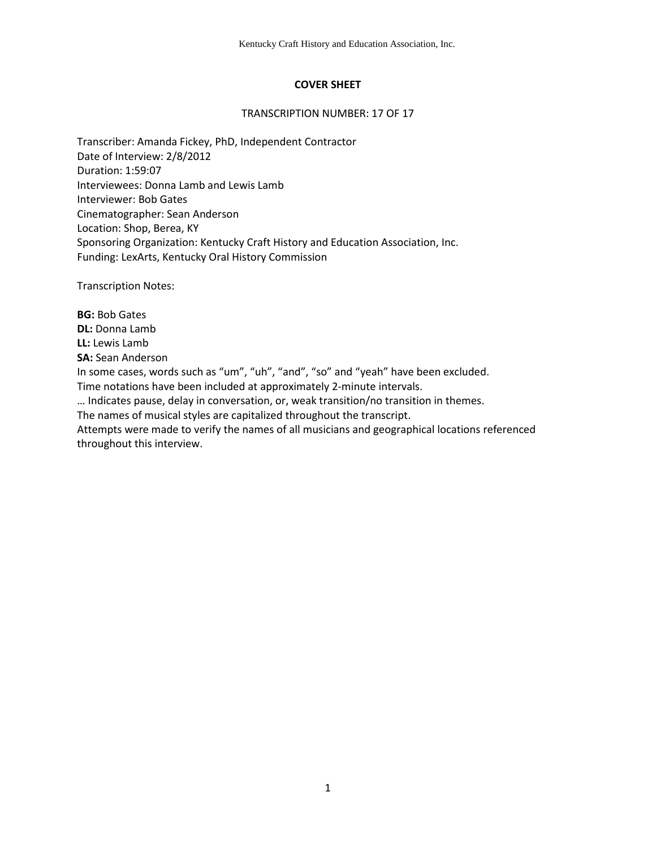# **COVER SHEET**

#### TRANSCRIPTION NUMBER: 17 OF 17

Transcriber: Amanda Fickey, PhD, Independent Contractor Date of Interview: 2/8/2012 Duration: 1:59:07 Interviewees: Donna Lamb and Lewis Lamb Interviewer: Bob Gates Cinematographer: Sean Anderson Location: Shop, Berea, KY Sponsoring Organization: Kentucky Craft History and Education Association, Inc. Funding: LexArts, Kentucky Oral History Commission

Transcription Notes:

**BG:** Bob Gates **DL:** Donna Lamb **LL:** Lewis Lamb **SA:** Sean Anderson In some cases, words such as "um", "uh", "and", "so" and "yeah" have been excluded. Time notations have been included at approximately 2-minute intervals. … Indicates pause, delay in conversation, or, weak transition/no transition in themes. The names of musical styles are capitalized throughout the transcript. Attempts were made to verify the names of all musicians and geographical locations referenced

throughout this interview.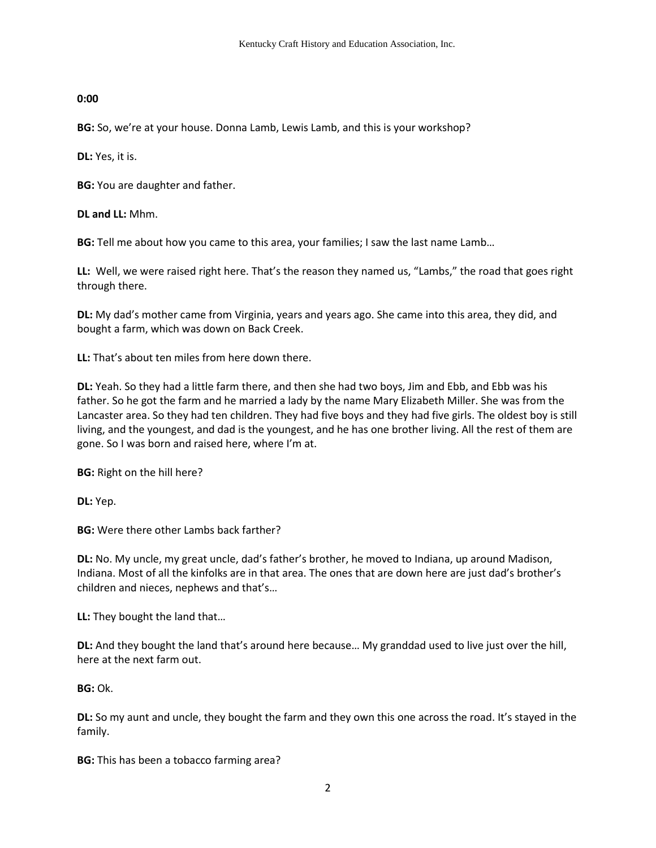## **0:00**

**BG:** So, we're at your house. Donna Lamb, Lewis Lamb, and this is your workshop?

**DL:** Yes, it is.

**BG:** You are daughter and father.

**DL and LL:** Mhm.

**BG:** Tell me about how you came to this area, your families; I saw the last name Lamb…

**LL:** Well, we were raised right here. That's the reason they named us, "Lambs," the road that goes right through there.

**DL:** My dad's mother came from Virginia, years and years ago. She came into this area, they did, and bought a farm, which was down on Back Creek.

**LL:** That's about ten miles from here down there.

**DL:** Yeah. So they had a little farm there, and then she had two boys, Jim and Ebb, and Ebb was his father. So he got the farm and he married a lady by the name Mary Elizabeth Miller. She was from the Lancaster area. So they had ten children. They had five boys and they had five girls. The oldest boy is still living, and the youngest, and dad is the youngest, and he has one brother living. All the rest of them are gone. So I was born and raised here, where I'm at.

**BG:** Right on the hill here?

**DL:** Yep.

**BG:** Were there other Lambs back farther?

**DL:** No. My uncle, my great uncle, dad's father's brother, he moved to Indiana, up around Madison, Indiana. Most of all the kinfolks are in that area. The ones that are down here are just dad's brother's children and nieces, nephews and that's…

**LL:** They bought the land that…

**DL:** And they bought the land that's around here because… My granddad used to live just over the hill, here at the next farm out.

**BG:** Ok.

**DL:** So my aunt and uncle, they bought the farm and they own this one across the road. It's stayed in the family.

**BG:** This has been a tobacco farming area?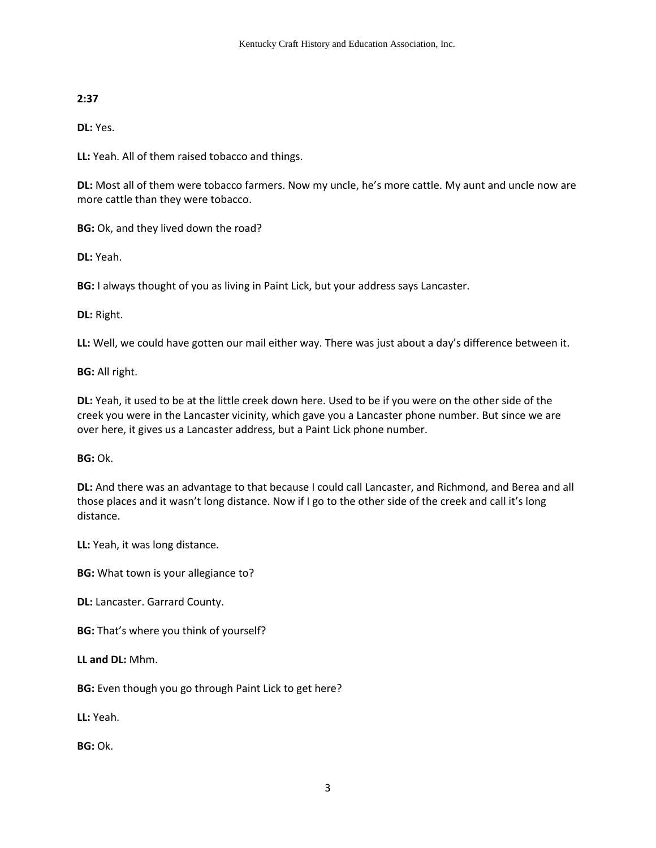# **2:37**

**DL:** Yes.

**LL:** Yeah. All of them raised tobacco and things.

**DL:** Most all of them were tobacco farmers. Now my uncle, he's more cattle. My aunt and uncle now are more cattle than they were tobacco.

**BG:** Ok, and they lived down the road?

**DL:** Yeah.

**BG:** I always thought of you as living in Paint Lick, but your address says Lancaster.

**DL:** Right.

**LL:** Well, we could have gotten our mail either way. There was just about a day's difference between it.

**BG:** All right.

**DL:** Yeah, it used to be at the little creek down here. Used to be if you were on the other side of the creek you were in the Lancaster vicinity, which gave you a Lancaster phone number. But since we are over here, it gives us a Lancaster address, but a Paint Lick phone number.

**BG:** Ok.

**DL:** And there was an advantage to that because I could call Lancaster, and Richmond, and Berea and all those places and it wasn't long distance. Now if I go to the other side of the creek and call it's long distance.

**LL:** Yeah, it was long distance.

**BG:** What town is your allegiance to?

**DL:** Lancaster. Garrard County.

**BG:** That's where you think of yourself?

**LL and DL:** Mhm.

**BG:** Even though you go through Paint Lick to get here?

**LL:** Yeah.

**BG:** Ok.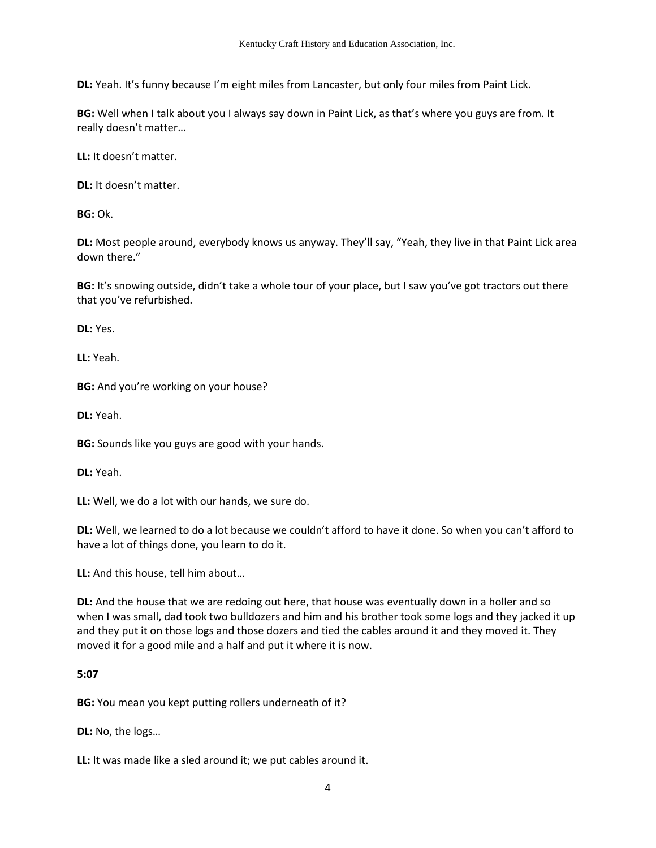**DL:** Yeah. It's funny because I'm eight miles from Lancaster, but only four miles from Paint Lick.

**BG:** Well when I talk about you I always say down in Paint Lick, as that's where you guys are from. It really doesn't matter…

**LL:** It doesn't matter.

**DL:** It doesn't matter.

**BG:** Ok.

**DL:** Most people around, everybody knows us anyway. They'll say, "Yeah, they live in that Paint Lick area down there."

**BG:** It's snowing outside, didn't take a whole tour of your place, but I saw you've got tractors out there that you've refurbished.

**DL:** Yes.

**LL:** Yeah.

**BG:** And you're working on your house?

**DL:** Yeah.

**BG:** Sounds like you guys are good with your hands.

**DL:** Yeah.

**LL:** Well, we do a lot with our hands, we sure do.

**DL:** Well, we learned to do a lot because we couldn't afford to have it done. So when you can't afford to have a lot of things done, you learn to do it.

**LL:** And this house, tell him about…

**DL:** And the house that we are redoing out here, that house was eventually down in a holler and so when I was small, dad took two bulldozers and him and his brother took some logs and they jacked it up and they put it on those logs and those dozers and tied the cables around it and they moved it. They moved it for a good mile and a half and put it where it is now.

#### **5:07**

**BG:** You mean you kept putting rollers underneath of it?

**DL:** No, the logs…

**LL:** It was made like a sled around it; we put cables around it.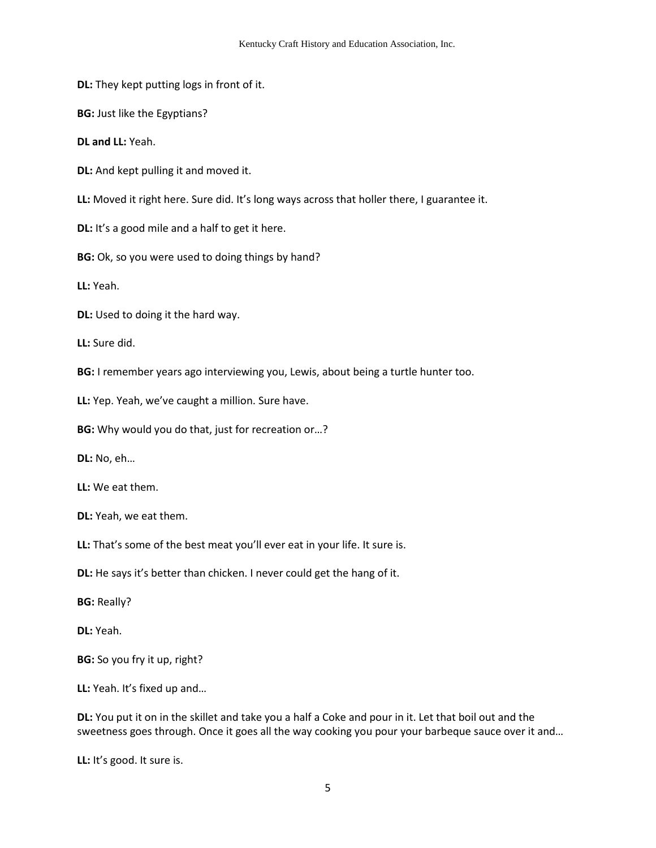**DL:** They kept putting logs in front of it.

**BG:** Just like the Egyptians?

**DL and LL:** Yeah.

**DL:** And kept pulling it and moved it.

**LL:** Moved it right here. Sure did. It's long ways across that holler there, I guarantee it.

**DL:** It's a good mile and a half to get it here.

**BG:** Ok, so you were used to doing things by hand?

**LL:** Yeah.

**DL:** Used to doing it the hard way.

**LL:** Sure did.

**BG:** I remember years ago interviewing you, Lewis, about being a turtle hunter too.

**LL:** Yep. Yeah, we've caught a million. Sure have.

**BG:** Why would you do that, just for recreation or…?

**DL:** No, eh…

**LL:** We eat them.

**DL:** Yeah, we eat them.

**LL:** That's some of the best meat you'll ever eat in your life. It sure is.

**DL:** He says it's better than chicken. I never could get the hang of it.

**BG:** Really?

**DL:** Yeah.

**BG:** So you fry it up, right?

**LL:** Yeah. It's fixed up and…

**DL:** You put it on in the skillet and take you a half a Coke and pour in it. Let that boil out and the sweetness goes through. Once it goes all the way cooking you pour your barbeque sauce over it and…

**LL:** It's good. It sure is.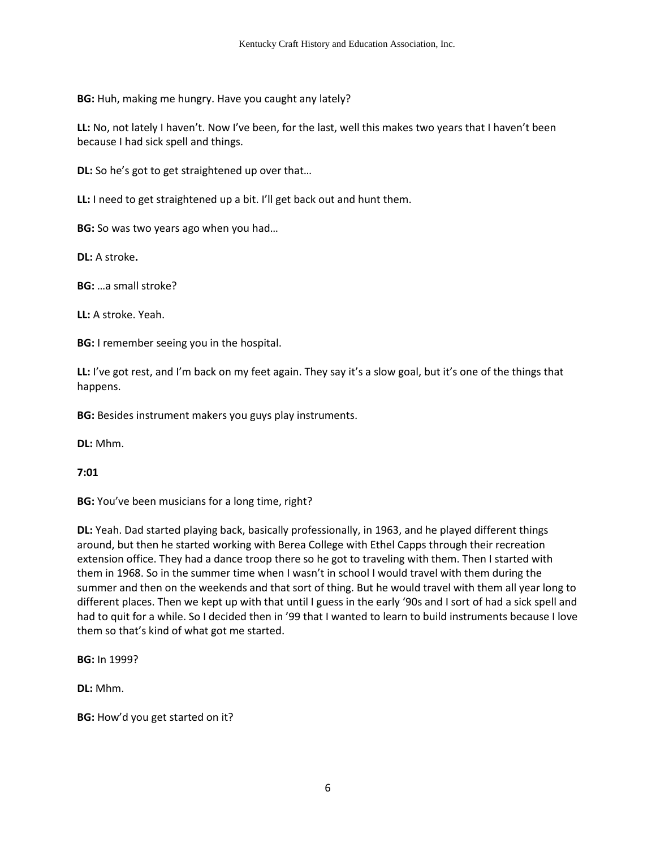**BG:** Huh, making me hungry. Have you caught any lately?

**LL:** No, not lately I haven't. Now I've been, for the last, well this makes two years that I haven't been because I had sick spell and things.

**DL:** So he's got to get straightened up over that…

**LL:** I need to get straightened up a bit. I'll get back out and hunt them.

**BG:** So was two years ago when you had...

**DL:** A stroke**.** 

**BG:** …a small stroke?

**LL:** A stroke. Yeah.

**BG:** I remember seeing you in the hospital.

**LL:** I've got rest, and I'm back on my feet again. They say it's a slow goal, but it's one of the things that happens.

**BG:** Besides instrument makers you guys play instruments.

**DL:** Mhm.

**7:01** 

**BG:** You've been musicians for a long time, right?

**DL:** Yeah. Dad started playing back, basically professionally, in 1963, and he played different things around, but then he started working with Berea College with Ethel Capps through their recreation extension office. They had a dance troop there so he got to traveling with them. Then I started with them in 1968. So in the summer time when I wasn't in school I would travel with them during the summer and then on the weekends and that sort of thing. But he would travel with them all year long to different places. Then we kept up with that until I guess in the early '90s and I sort of had a sick spell and had to quit for a while. So I decided then in '99 that I wanted to learn to build instruments because I love them so that's kind of what got me started.

**BG:** In 1999?

**DL:** Mhm.

**BG:** How'd you get started on it?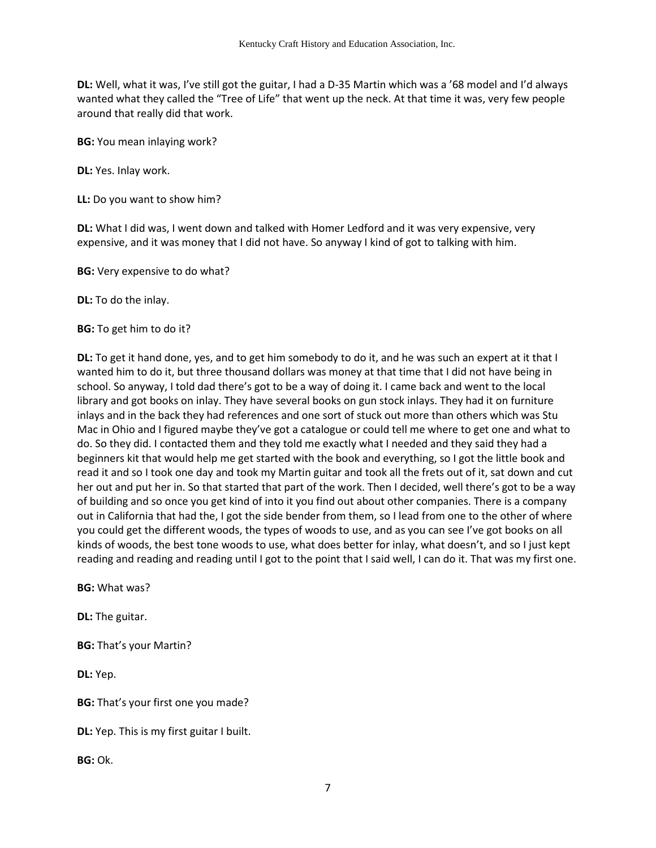**DL:** Well, what it was, I've still got the guitar, I had a D-35 Martin which was a '68 model and I'd always wanted what they called the "Tree of Life" that went up the neck. At that time it was, very few people around that really did that work.

**BG:** You mean inlaying work?

**DL:** Yes. Inlay work.

**LL:** Do you want to show him?

**DL:** What I did was, I went down and talked with Homer Ledford and it was very expensive, very expensive, and it was money that I did not have. So anyway I kind of got to talking with him.

**BG:** Very expensive to do what?

**DL:** To do the inlay.

**BG:** To get him to do it?

**DL:** To get it hand done, yes, and to get him somebody to do it, and he was such an expert at it that I wanted him to do it, but three thousand dollars was money at that time that I did not have being in school. So anyway, I told dad there's got to be a way of doing it. I came back and went to the local library and got books on inlay. They have several books on gun stock inlays. They had it on furniture inlays and in the back they had references and one sort of stuck out more than others which was Stu Mac in Ohio and I figured maybe they've got a catalogue or could tell me where to get one and what to do. So they did. I contacted them and they told me exactly what I needed and they said they had a beginners kit that would help me get started with the book and everything, so I got the little book and read it and so I took one day and took my Martin guitar and took all the frets out of it, sat down and cut her out and put her in. So that started that part of the work. Then I decided, well there's got to be a way of building and so once you get kind of into it you find out about other companies. There is a company out in California that had the, I got the side bender from them, so I lead from one to the other of where you could get the different woods, the types of woods to use, and as you can see I've got books on all kinds of woods, the best tone woods to use, what does better for inlay, what doesn't, and so I just kept reading and reading and reading until I got to the point that I said well, I can do it. That was my first one.

**BG:** What was?

**DL:** The guitar.

**BG:** That's your Martin?

**DL:** Yep.

**BG:** That's your first one you made?

**DL:** Yep. This is my first guitar I built.

**BG:** Ok.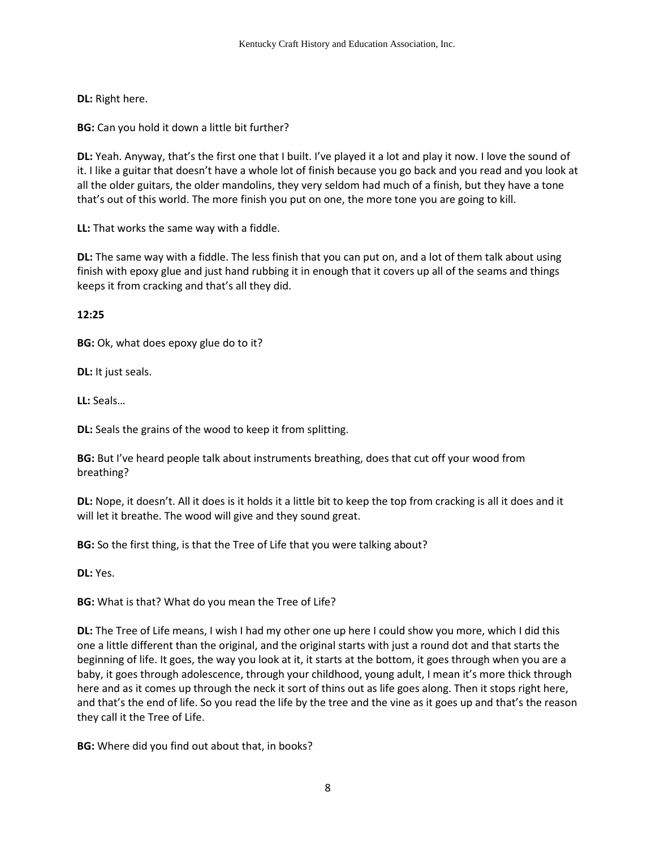**DL:** Right here.

**BG:** Can you hold it down a little bit further?

**DL:** Yeah. Anyway, that's the first one that I built. I've played it a lot and play it now. I love the sound of it. I like a guitar that doesn't have a whole lot of finish because you go back and you read and you look at all the older guitars, the older mandolins, they very seldom had much of a finish, but they have a tone that's out of this world. The more finish you put on one, the more tone you are going to kill.

**LL:** That works the same way with a fiddle.

**DL:** The same way with a fiddle. The less finish that you can put on, and a lot of them talk about using finish with epoxy glue and just hand rubbing it in enough that it covers up all of the seams and things keeps it from cracking and that's all they did.

**12:25** 

**BG:** Ok, what does epoxy glue do to it?

**DL:** It just seals.

**LL:** Seals…

**DL:** Seals the grains of the wood to keep it from splitting.

**BG:** But I've heard people talk about instruments breathing, does that cut off your wood from breathing?

**DL:** Nope, it doesn't. All it does is it holds it a little bit to keep the top from cracking is all it does and it will let it breathe. The wood will give and they sound great.

**BG:** So the first thing, is that the Tree of Life that you were talking about?

**DL:** Yes.

**BG:** What is that? What do you mean the Tree of Life?

**DL:** The Tree of Life means, I wish I had my other one up here I could show you more, which I did this one a little different than the original, and the original starts with just a round dot and that starts the beginning of life. It goes, the way you look at it, it starts at the bottom, it goes through when you are a baby, it goes through adolescence, through your childhood, young adult, I mean it's more thick through here and as it comes up through the neck it sort of thins out as life goes along. Then it stops right here, and that's the end of life. So you read the life by the tree and the vine as it goes up and that's the reason they call it the Tree of Life.

**BG:** Where did you find out about that, in books?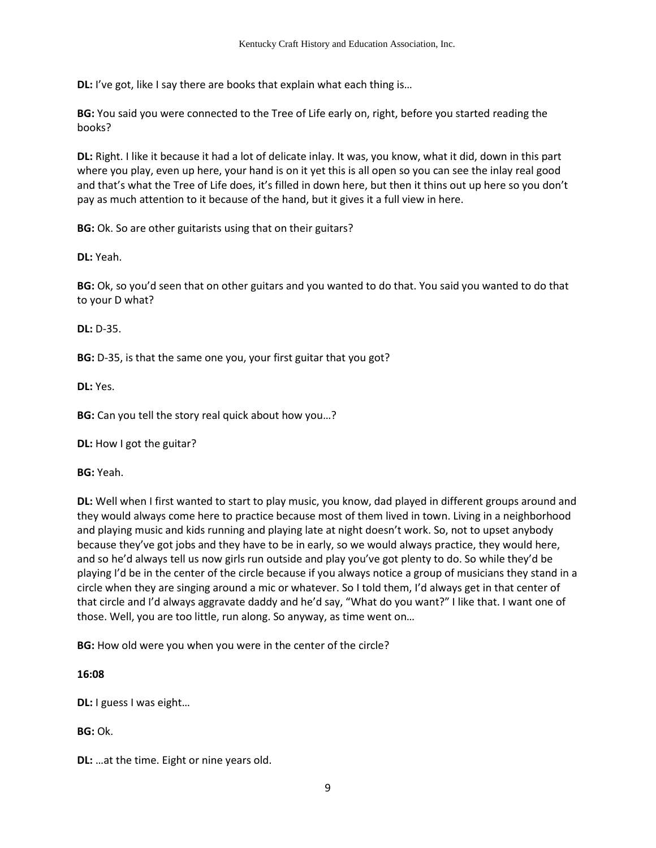**DL:** I've got, like I say there are books that explain what each thing is...

**BG:** You said you were connected to the Tree of Life early on, right, before you started reading the books?

**DL:** Right. I like it because it had a lot of delicate inlay. It was, you know, what it did, down in this part where you play, even up here, your hand is on it yet this is all open so you can see the inlay real good and that's what the Tree of Life does, it's filled in down here, but then it thins out up here so you don't pay as much attention to it because of the hand, but it gives it a full view in here.

**BG:** Ok. So are other guitarists using that on their guitars?

**DL:** Yeah.

**BG:** Ok, so you'd seen that on other guitars and you wanted to do that. You said you wanted to do that to your D what?

**DL:** D-35.

**BG:** D-35, is that the same one you, your first guitar that you got?

**DL:** Yes.

**BG:** Can you tell the story real quick about how you…?

**DL:** How I got the guitar?

**BG:** Yeah.

**DL:** Well when I first wanted to start to play music, you know, dad played in different groups around and they would always come here to practice because most of them lived in town. Living in a neighborhood and playing music and kids running and playing late at night doesn't work. So, not to upset anybody because they've got jobs and they have to be in early, so we would always practice, they would here, and so he'd always tell us now girls run outside and play you've got plenty to do. So while they'd be playing I'd be in the center of the circle because if you always notice a group of musicians they stand in a circle when they are singing around a mic or whatever. So I told them, I'd always get in that center of that circle and I'd always aggravate daddy and he'd say, "What do you want?" I like that. I want one of those. Well, you are too little, run along. So anyway, as time went on…

**BG:** How old were you when you were in the center of the circle?

**16:08**

**DL:** I guess I was eight…

**BG:** Ok.

**DL:** …at the time. Eight or nine years old.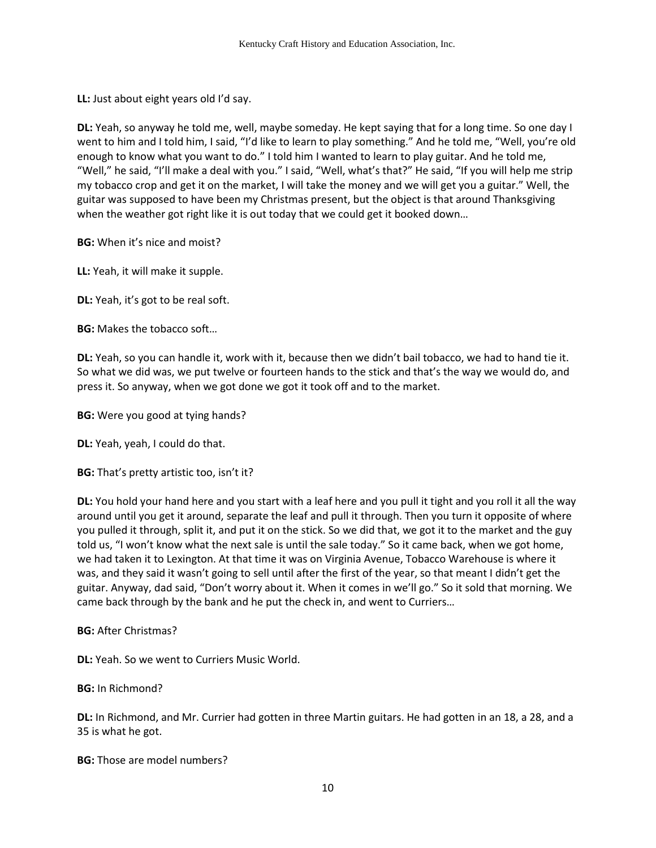**LL:** Just about eight years old I'd say.

**DL:** Yeah, so anyway he told me, well, maybe someday. He kept saying that for a long time. So one day I went to him and I told him, I said, "I'd like to learn to play something." And he told me, "Well, you're old enough to know what you want to do." I told him I wanted to learn to play guitar. And he told me, "Well," he said, "I'll make a deal with you." I said, "Well, what's that?" He said, "If you will help me strip my tobacco crop and get it on the market, I will take the money and we will get you a guitar." Well, the guitar was supposed to have been my Christmas present, but the object is that around Thanksgiving when the weather got right like it is out today that we could get it booked down...

**BG:** When it's nice and moist?

**LL:** Yeah, it will make it supple.

**DL:** Yeah, it's got to be real soft.

**BG:** Makes the tobacco soft…

**DL:** Yeah, so you can handle it, work with it, because then we didn't bail tobacco, we had to hand tie it. So what we did was, we put twelve or fourteen hands to the stick and that's the way we would do, and press it. So anyway, when we got done we got it took off and to the market.

**BG:** Were you good at tying hands?

**DL:** Yeah, yeah, I could do that.

**BG:** That's pretty artistic too, isn't it?

**DL:** You hold your hand here and you start with a leaf here and you pull it tight and you roll it all the way around until you get it around, separate the leaf and pull it through. Then you turn it opposite of where you pulled it through, split it, and put it on the stick. So we did that, we got it to the market and the guy told us, "I won't know what the next sale is until the sale today." So it came back, when we got home, we had taken it to Lexington. At that time it was on Virginia Avenue, Tobacco Warehouse is where it was, and they said it wasn't going to sell until after the first of the year, so that meant I didn't get the guitar. Anyway, dad said, "Don't worry about it. When it comes in we'll go." So it sold that morning. We came back through by the bank and he put the check in, and went to Curriers…

**BG:** After Christmas?

**DL:** Yeah. So we went to Curriers Music World.

**BG:** In Richmond?

**DL:** In Richmond, and Mr. Currier had gotten in three Martin guitars. He had gotten in an 18, a 28, and a 35 is what he got.

**BG:** Those are model numbers?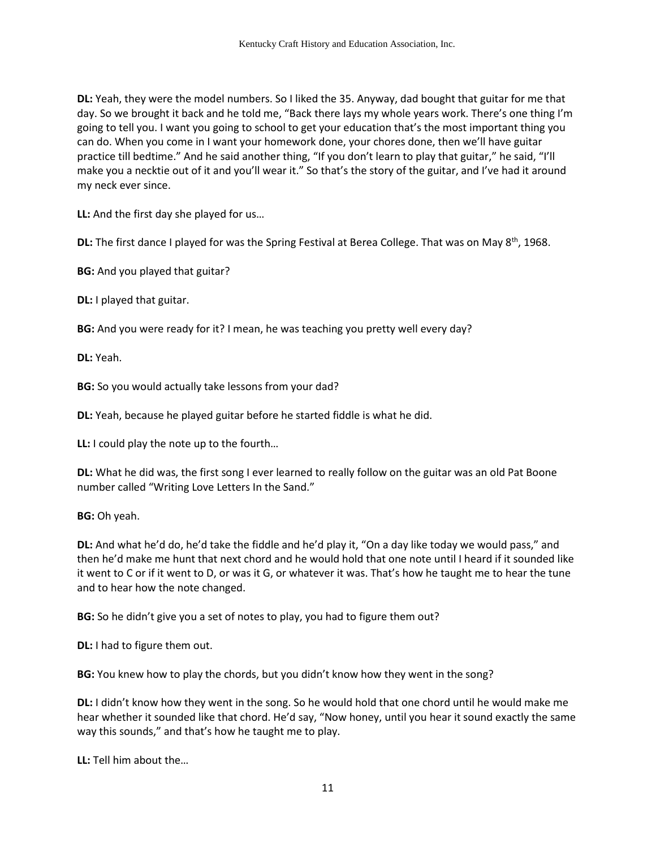**DL:** Yeah, they were the model numbers. So I liked the 35. Anyway, dad bought that guitar for me that day. So we brought it back and he told me, "Back there lays my whole years work. There's one thing I'm going to tell you. I want you going to school to get your education that's the most important thing you can do. When you come in I want your homework done, your chores done, then we'll have guitar practice till bedtime." And he said another thing, "If you don't learn to play that guitar," he said, "I'll make you a necktie out of it and you'll wear it." So that's the story of the guitar, and I've had it around my neck ever since.

**LL:** And the first day she played for us…

**DL:** The first dance I played for was the Spring Festival at Berea College. That was on May 8<sup>th</sup>, 1968.

**BG:** And you played that guitar?

**DL:** I played that guitar.

**BG:** And you were ready for it? I mean, he was teaching you pretty well every day?

**DL:** Yeah.

**BG:** So you would actually take lessons from your dad?

**DL:** Yeah, because he played guitar before he started fiddle is what he did.

**LL:** I could play the note up to the fourth…

**DL:** What he did was, the first song I ever learned to really follow on the guitar was an old Pat Boone number called "Writing Love Letters In the Sand."

**BG:** Oh yeah.

**DL:** And what he'd do, he'd take the fiddle and he'd play it, "On a day like today we would pass," and then he'd make me hunt that next chord and he would hold that one note until I heard if it sounded like it went to C or if it went to D, or was it G, or whatever it was. That's how he taught me to hear the tune and to hear how the note changed.

**BG:** So he didn't give you a set of notes to play, you had to figure them out?

**DL:** I had to figure them out.

**BG:** You knew how to play the chords, but you didn't know how they went in the song?

**DL:** I didn't know how they went in the song. So he would hold that one chord until he would make me hear whether it sounded like that chord. He'd say, "Now honey, until you hear it sound exactly the same way this sounds," and that's how he taught me to play.

**LL:** Tell him about the…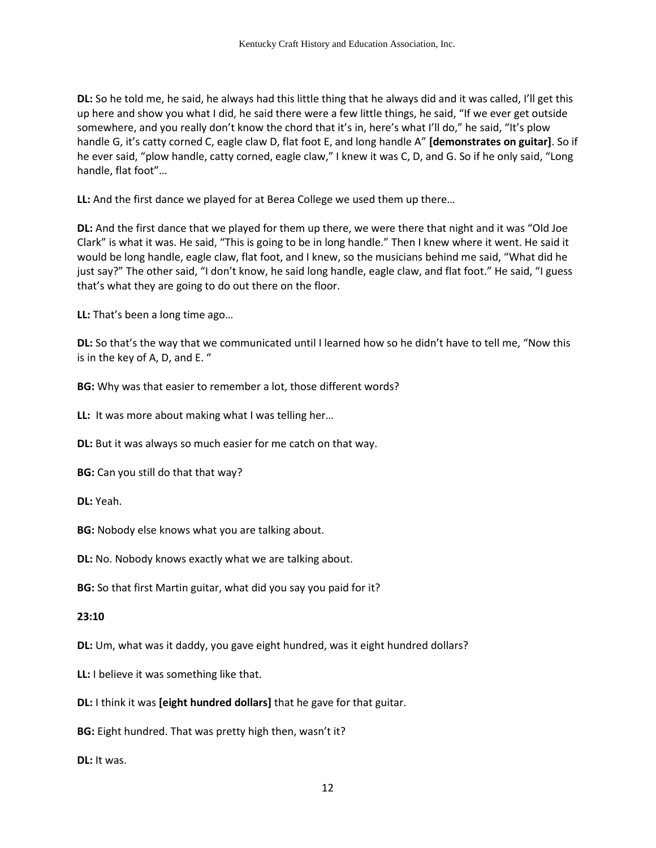**DL:** So he told me, he said, he always had this little thing that he always did and it was called, I'll get this up here and show you what I did, he said there were a few little things, he said, "If we ever get outside somewhere, and you really don't know the chord that it's in, here's what I'll do," he said, "It's plow handle G, it's catty corned C, eagle claw D, flat foot E, and long handle A" **[demonstrates on guitar]**. So if he ever said, "plow handle, catty corned, eagle claw," I knew it was C, D, and G. So if he only said, "Long handle, flat foot"…

**LL:** And the first dance we played for at Berea College we used them up there…

**DL:** And the first dance that we played for them up there, we were there that night and it was "Old Joe Clark" is what it was. He said, "This is going to be in long handle." Then I knew where it went. He said it would be long handle, eagle claw, flat foot, and I knew, so the musicians behind me said, "What did he just say?" The other said, "I don't know, he said long handle, eagle claw, and flat foot." He said, "I guess that's what they are going to do out there on the floor.

**LL:** That's been a long time ago…

**DL:** So that's the way that we communicated until I learned how so he didn't have to tell me, "Now this is in the key of A, D, and E. "

**BG:** Why was that easier to remember a lot, those different words?

**LL:** It was more about making what I was telling her…

**DL:** But it was always so much easier for me catch on that way.

**BG:** Can you still do that that way?

**DL:** Yeah.

**BG:** Nobody else knows what you are talking about.

**DL:** No. Nobody knows exactly what we are talking about.

**BG:** So that first Martin guitar, what did you say you paid for it?

### **23:10**

**DL:** Um, what was it daddy, you gave eight hundred, was it eight hundred dollars?

**LL:** I believe it was something like that.

**DL:** I think it was **[eight hundred dollars]** that he gave for that guitar.

**BG:** Eight hundred. That was pretty high then, wasn't it?

**DL:** It was.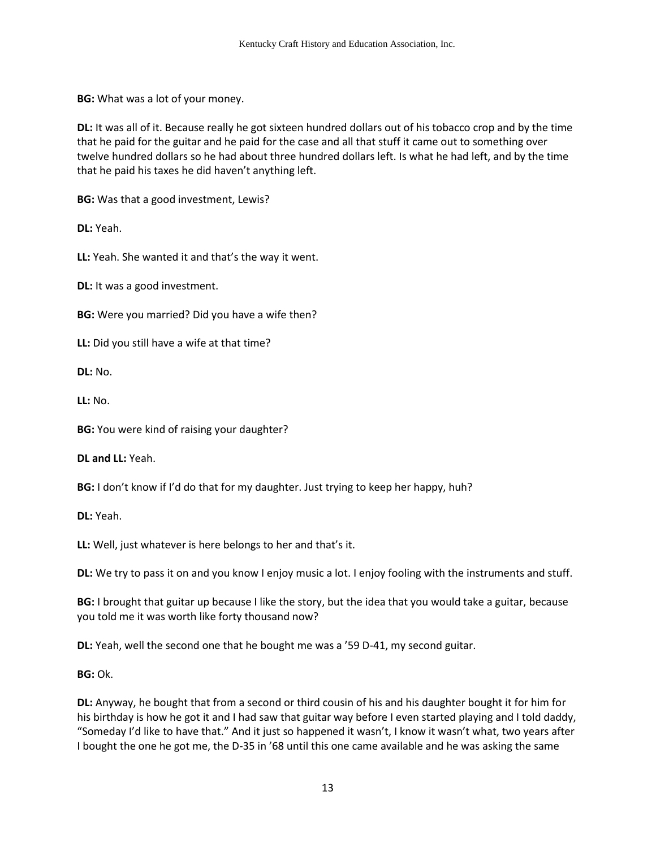**BG:** What was a lot of your money.

**DL:** It was all of it. Because really he got sixteen hundred dollars out of his tobacco crop and by the time that he paid for the guitar and he paid for the case and all that stuff it came out to something over twelve hundred dollars so he had about three hundred dollars left. Is what he had left, and by the time that he paid his taxes he did haven't anything left.

**BG:** Was that a good investment, Lewis?

**DL:** Yeah.

**LL:** Yeah. She wanted it and that's the way it went.

**DL:** It was a good investment.

**BG:** Were you married? Did you have a wife then?

**LL:** Did you still have a wife at that time?

**DL:** No.

**LL:** No.

**BG:** You were kind of raising your daughter?

**DL and LL:** Yeah.

**BG:** I don't know if I'd do that for my daughter. Just trying to keep her happy, huh?

**DL:** Yeah.

**LL:** Well, just whatever is here belongs to her and that's it.

**DL:** We try to pass it on and you know I enjoy music a lot. I enjoy fooling with the instruments and stuff.

**BG:** I brought that guitar up because I like the story, but the idea that you would take a guitar, because you told me it was worth like forty thousand now?

**DL:** Yeah, well the second one that he bought me was a '59 D-41, my second guitar.

**BG:** Ok.

**DL:** Anyway, he bought that from a second or third cousin of his and his daughter bought it for him for his birthday is how he got it and I had saw that guitar way before I even started playing and I told daddy, "Someday I'd like to have that." And it just so happened it wasn't, I know it wasn't what, two years after I bought the one he got me, the D-35 in '68 until this one came available and he was asking the same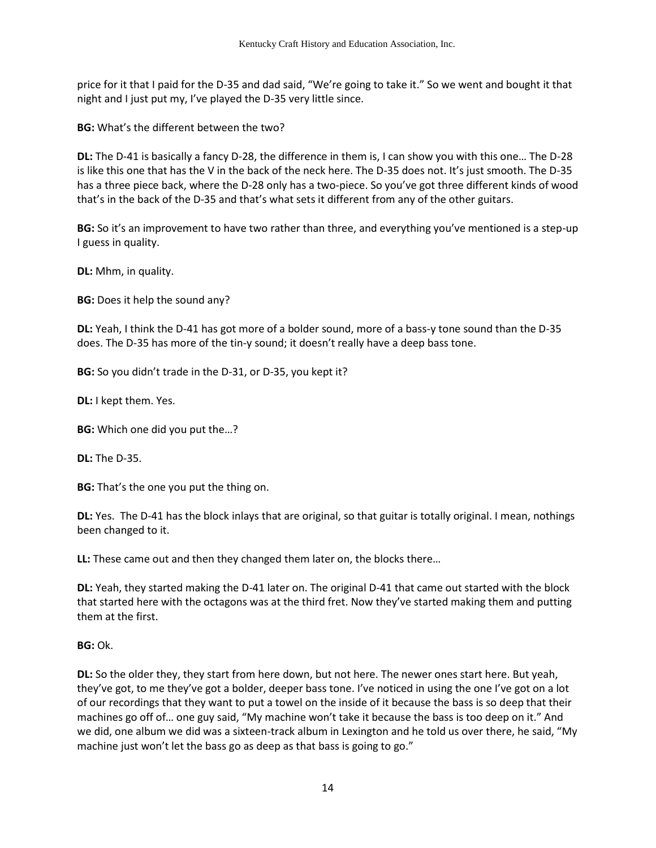price for it that I paid for the D-35 and dad said, "We're going to take it." So we went and bought it that night and I just put my, I've played the D-35 very little since.

**BG:** What's the different between the two?

**DL:** The D-41 is basically a fancy D-28, the difference in them is, I can show you with this one… The D-28 is like this one that has the V in the back of the neck here. The D-35 does not. It's just smooth. The D-35 has a three piece back, where the D-28 only has a two-piece. So you've got three different kinds of wood that's in the back of the D-35 and that's what sets it different from any of the other guitars.

**BG:** So it's an improvement to have two rather than three, and everything you've mentioned is a step-up I guess in quality.

**DL:** Mhm, in quality.

**BG:** Does it help the sound any?

**DL:** Yeah, I think the D-41 has got more of a bolder sound, more of a bass-y tone sound than the D-35 does. The D-35 has more of the tin-y sound; it doesn't really have a deep bass tone.

**BG:** So you didn't trade in the D-31, or D-35, you kept it?

**DL:** I kept them. Yes.

**BG:** Which one did you put the…?

**DL:** The D-35.

**BG:** That's the one you put the thing on.

**DL:** Yes. The D-41 has the block inlays that are original, so that guitar is totally original. I mean, nothings been changed to it.

**LL:** These came out and then they changed them later on, the blocks there…

**DL:** Yeah, they started making the D-41 later on. The original D-41 that came out started with the block that started here with the octagons was at the third fret. Now they've started making them and putting them at the first.

**BG:** Ok.

**DL:** So the older they, they start from here down, but not here. The newer ones start here. But yeah, they've got, to me they've got a bolder, deeper bass tone. I've noticed in using the one I've got on a lot of our recordings that they want to put a towel on the inside of it because the bass is so deep that their machines go off of… one guy said, "My machine won't take it because the bass is too deep on it." And we did, one album we did was a sixteen-track album in Lexington and he told us over there, he said, "My machine just won't let the bass go as deep as that bass is going to go."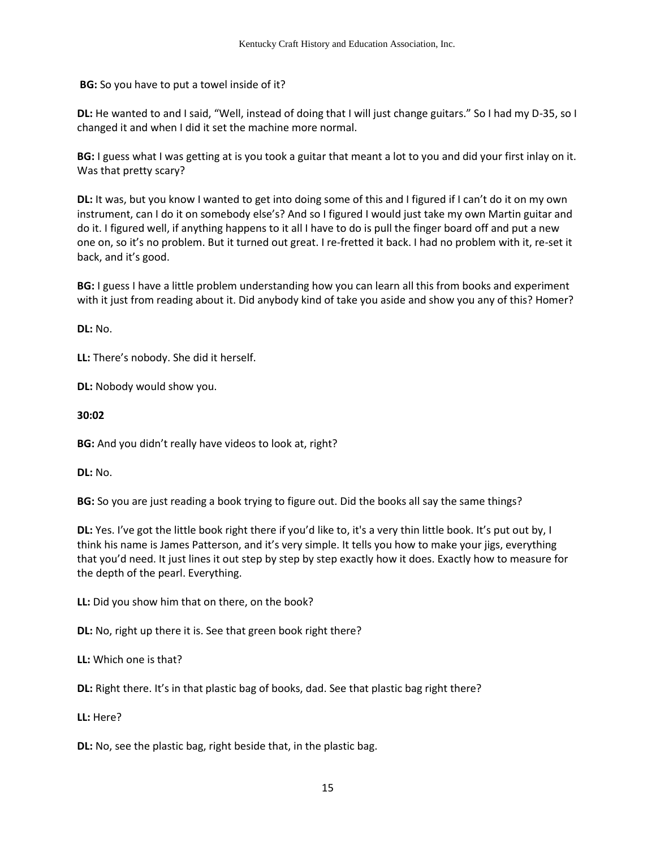**BG:** So you have to put a towel inside of it?

**DL:** He wanted to and I said, "Well, instead of doing that I will just change guitars." So I had my D-35, so I changed it and when I did it set the machine more normal.

**BG:** I guess what I was getting at is you took a guitar that meant a lot to you and did your first inlay on it. Was that pretty scary?

**DL:** It was, but you know I wanted to get into doing some of this and I figured if I can't do it on my own instrument, can I do it on somebody else's? And so I figured I would just take my own Martin guitar and do it. I figured well, if anything happens to it all I have to do is pull the finger board off and put a new one on, so it's no problem. But it turned out great. I re-fretted it back. I had no problem with it, re-set it back, and it's good.

**BG:** I guess I have a little problem understanding how you can learn all this from books and experiment with it just from reading about it. Did anybody kind of take you aside and show you any of this? Homer?

**DL:** No.

**LL:** There's nobody. She did it herself.

**DL:** Nobody would show you.

**30:02** 

**BG:** And you didn't really have videos to look at, right?

**DL:** No.

**BG:** So you are just reading a book trying to figure out. Did the books all say the same things?

**DL:** Yes. I've got the little book right there if you'd like to, it's a very thin little book. It's put out by, I think his name is James Patterson, and it's very simple. It tells you how to make your jigs, everything that you'd need. It just lines it out step by step by step exactly how it does. Exactly how to measure for the depth of the pearl. Everything.

**LL:** Did you show him that on there, on the book?

**DL:** No, right up there it is. See that green book right there?

**LL:** Which one is that?

**DL:** Right there. It's in that plastic bag of books, dad. See that plastic bag right there?

**LL:** Here?

**DL:** No, see the plastic bag, right beside that, in the plastic bag.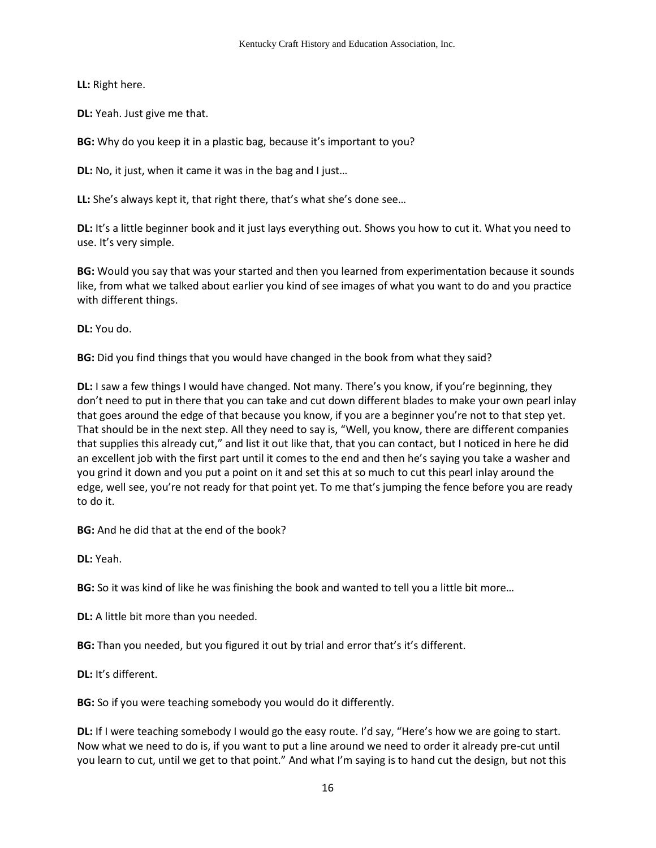**LL:** Right here.

**DL:** Yeah. Just give me that.

**BG:** Why do you keep it in a plastic bag, because it's important to you?

**DL:** No, it just, when it came it was in the bag and I just…

**LL:** She's always kept it, that right there, that's what she's done see…

**DL:** It's a little beginner book and it just lays everything out. Shows you how to cut it. What you need to use. It's very simple.

**BG:** Would you say that was your started and then you learned from experimentation because it sounds like, from what we talked about earlier you kind of see images of what you want to do and you practice with different things.

**DL:** You do.

**BG:** Did you find things that you would have changed in the book from what they said?

**DL:** I saw a few things I would have changed. Not many. There's you know, if you're beginning, they don't need to put in there that you can take and cut down different blades to make your own pearl inlay that goes around the edge of that because you know, if you are a beginner you're not to that step yet. That should be in the next step. All they need to say is, "Well, you know, there are different companies that supplies this already cut," and list it out like that, that you can contact, but I noticed in here he did an excellent job with the first part until it comes to the end and then he's saying you take a washer and you grind it down and you put a point on it and set this at so much to cut this pearl inlay around the edge, well see, you're not ready for that point yet. To me that's jumping the fence before you are ready to do it.

**BG:** And he did that at the end of the book?

**DL:** Yeah.

**BG:** So it was kind of like he was finishing the book and wanted to tell you a little bit more…

**DL:** A little bit more than you needed.

**BG:** Than you needed, but you figured it out by trial and error that's it's different.

**DL:** It's different.

**BG:** So if you were teaching somebody you would do it differently.

**DL:** If I were teaching somebody I would go the easy route. I'd say, "Here's how we are going to start. Now what we need to do is, if you want to put a line around we need to order it already pre-cut until you learn to cut, until we get to that point." And what I'm saying is to hand cut the design, but not this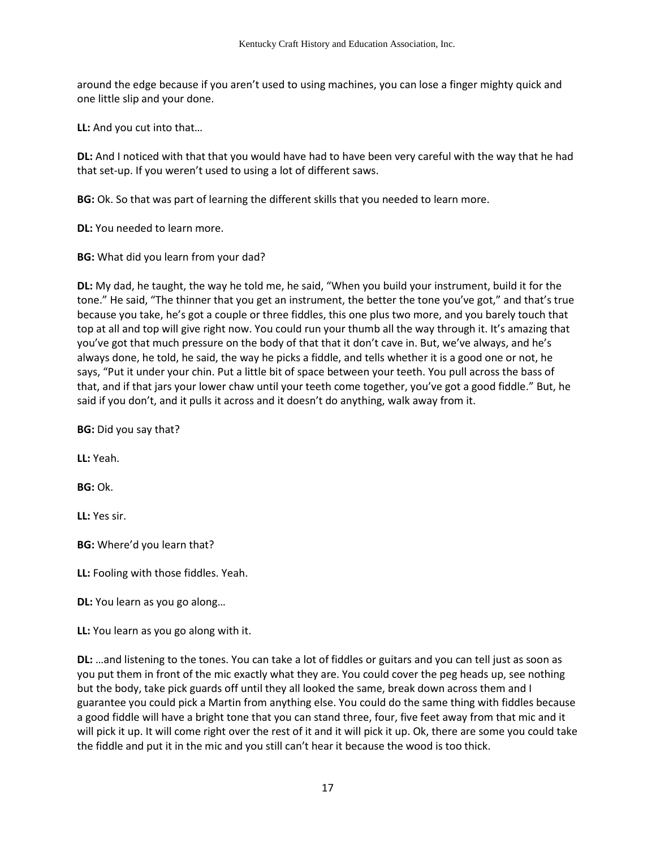around the edge because if you aren't used to using machines, you can lose a finger mighty quick and one little slip and your done.

**LL:** And you cut into that…

**DL:** And I noticed with that that you would have had to have been very careful with the way that he had that set-up. If you weren't used to using a lot of different saws.

**BG:** Ok. So that was part of learning the different skills that you needed to learn more.

**DL:** You needed to learn more.

**BG:** What did you learn from your dad?

**DL:** My dad, he taught, the way he told me, he said, "When you build your instrument, build it for the tone." He said, "The thinner that you get an instrument, the better the tone you've got," and that's true because you take, he's got a couple or three fiddles, this one plus two more, and you barely touch that top at all and top will give right now. You could run your thumb all the way through it. It's amazing that you've got that much pressure on the body of that that it don't cave in. But, we've always, and he's always done, he told, he said, the way he picks a fiddle, and tells whether it is a good one or not, he says, "Put it under your chin. Put a little bit of space between your teeth. You pull across the bass of that, and if that jars your lower chaw until your teeth come together, you've got a good fiddle." But, he said if you don't, and it pulls it across and it doesn't do anything, walk away from it.

**BG:** Did you say that?

**LL:** Yeah.

**BG:** Ok.

**LL:** Yes sir.

**BG:** Where'd you learn that?

**LL:** Fooling with those fiddles. Yeah.

**DL:** You learn as you go along…

**LL:** You learn as you go along with it.

**DL:** …and listening to the tones. You can take a lot of fiddles or guitars and you can tell just as soon as you put them in front of the mic exactly what they are. You could cover the peg heads up, see nothing but the body, take pick guards off until they all looked the same, break down across them and I guarantee you could pick a Martin from anything else. You could do the same thing with fiddles because a good fiddle will have a bright tone that you can stand three, four, five feet away from that mic and it will pick it up. It will come right over the rest of it and it will pick it up. Ok, there are some you could take the fiddle and put it in the mic and you still can't hear it because the wood is too thick.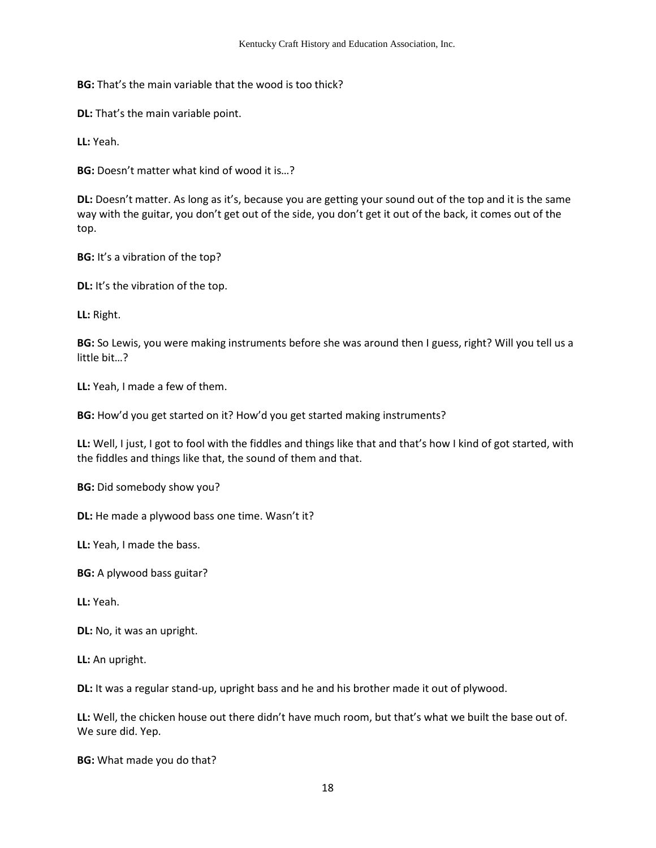**BG:** That's the main variable that the wood is too thick?

**DL:** That's the main variable point.

**LL:** Yeah.

**BG:** Doesn't matter what kind of wood it is…?

**DL:** Doesn't matter. As long as it's, because you are getting your sound out of the top and it is the same way with the guitar, you don't get out of the side, you don't get it out of the back, it comes out of the top.

**BG:** It's a vibration of the top?

**DL:** It's the vibration of the top.

**LL:** Right.

**BG:** So Lewis, you were making instruments before she was around then I guess, right? Will you tell us a little bit…?

**LL:** Yeah, I made a few of them.

**BG:** How'd you get started on it? How'd you get started making instruments?

**LL:** Well, I just, I got to fool with the fiddles and things like that and that's how I kind of got started, with the fiddles and things like that, the sound of them and that.

**BG:** Did somebody show you?

**DL:** He made a plywood bass one time. Wasn't it?

**LL:** Yeah, I made the bass.

**BG:** A plywood bass guitar?

**LL:** Yeah.

**DL:** No, it was an upright.

**LL:** An upright.

**DL:** It was a regular stand-up, upright bass and he and his brother made it out of plywood.

**LL:** Well, the chicken house out there didn't have much room, but that's what we built the base out of. We sure did. Yep.

**BG:** What made you do that?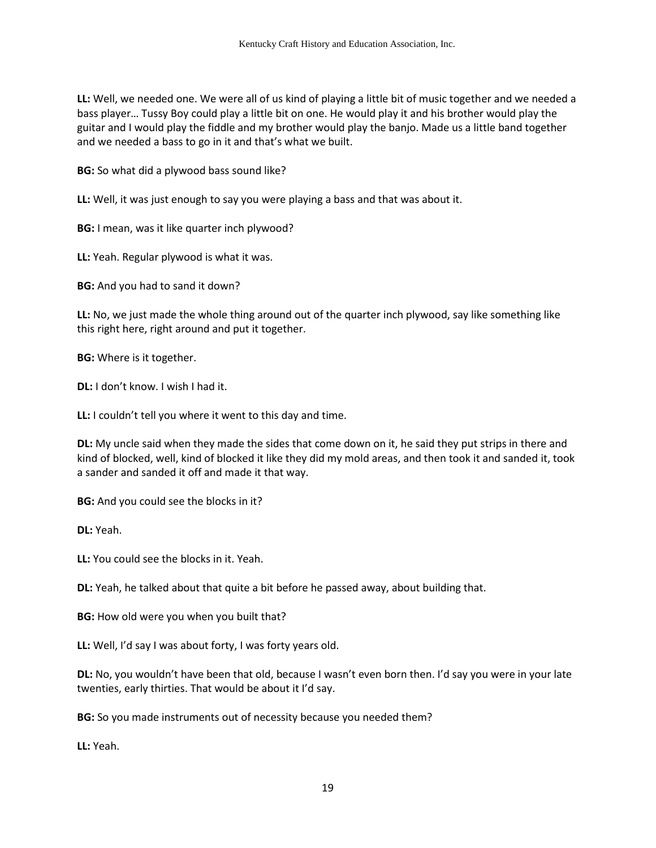**LL:** Well, we needed one. We were all of us kind of playing a little bit of music together and we needed a bass player… Tussy Boy could play a little bit on one. He would play it and his brother would play the guitar and I would play the fiddle and my brother would play the banjo. Made us a little band together and we needed a bass to go in it and that's what we built.

**BG:** So what did a plywood bass sound like?

**LL:** Well, it was just enough to say you were playing a bass and that was about it.

**BG:** I mean, was it like quarter inch plywood?

**LL:** Yeah. Regular plywood is what it was.

**BG:** And you had to sand it down?

**LL:** No, we just made the whole thing around out of the quarter inch plywood, say like something like this right here, right around and put it together.

**BG:** Where is it together.

**DL:** I don't know. I wish I had it.

**LL:** I couldn't tell you where it went to this day and time.

**DL:** My uncle said when they made the sides that come down on it, he said they put strips in there and kind of blocked, well, kind of blocked it like they did my mold areas, and then took it and sanded it, took a sander and sanded it off and made it that way.

**BG:** And you could see the blocks in it?

**DL:** Yeah.

**LL:** You could see the blocks in it. Yeah.

**DL:** Yeah, he talked about that quite a bit before he passed away, about building that.

**BG:** How old were you when you built that?

**LL:** Well, I'd say I was about forty, I was forty years old.

**DL:** No, you wouldn't have been that old, because I wasn't even born then. I'd say you were in your late twenties, early thirties. That would be about it I'd say.

**BG:** So you made instruments out of necessity because you needed them?

**LL:** Yeah.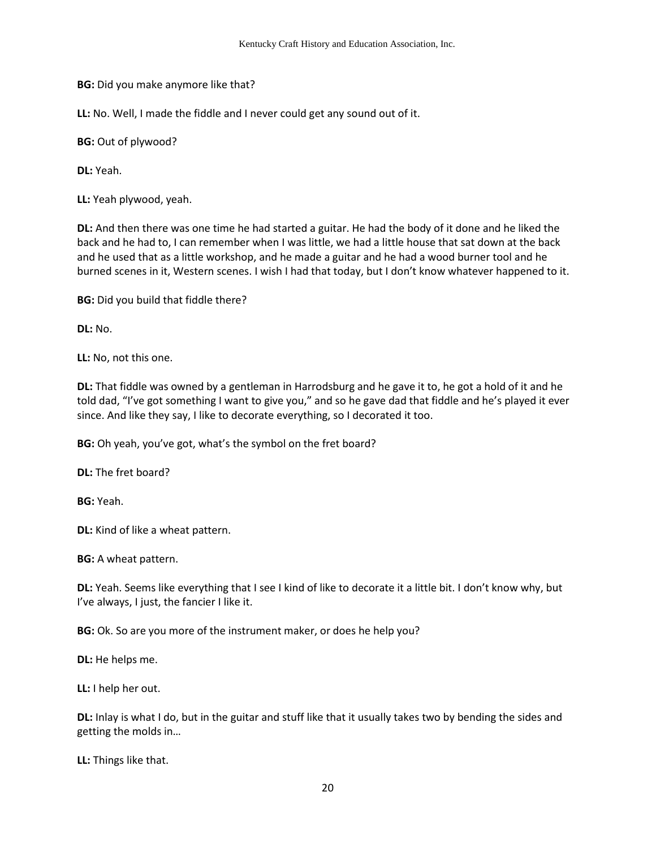**BG:** Did you make anymore like that?

**LL:** No. Well, I made the fiddle and I never could get any sound out of it.

**BG:** Out of plywood?

**DL:** Yeah.

**LL:** Yeah plywood, yeah.

**DL:** And then there was one time he had started a guitar. He had the body of it done and he liked the back and he had to, I can remember when I was little, we had a little house that sat down at the back and he used that as a little workshop, and he made a guitar and he had a wood burner tool and he burned scenes in it, Western scenes. I wish I had that today, but I don't know whatever happened to it.

**BG:** Did you build that fiddle there?

**DL:** No.

**LL:** No, not this one.

**DL:** That fiddle was owned by a gentleman in Harrodsburg and he gave it to, he got a hold of it and he told dad, "I've got something I want to give you," and so he gave dad that fiddle and he's played it ever since. And like they say, I like to decorate everything, so I decorated it too.

**BG:** Oh yeah, you've got, what's the symbol on the fret board?

**DL:** The fret board?

**BG:** Yeah.

**DL:** Kind of like a wheat pattern.

**BG:** A wheat pattern.

**DL:** Yeah. Seems like everything that I see I kind of like to decorate it a little bit. I don't know why, but I've always, I just, the fancier I like it.

**BG:** Ok. So are you more of the instrument maker, or does he help you?

**DL:** He helps me.

**LL:** I help her out.

**DL:** Inlay is what I do, but in the guitar and stuff like that it usually takes two by bending the sides and getting the molds in…

**LL:** Things like that.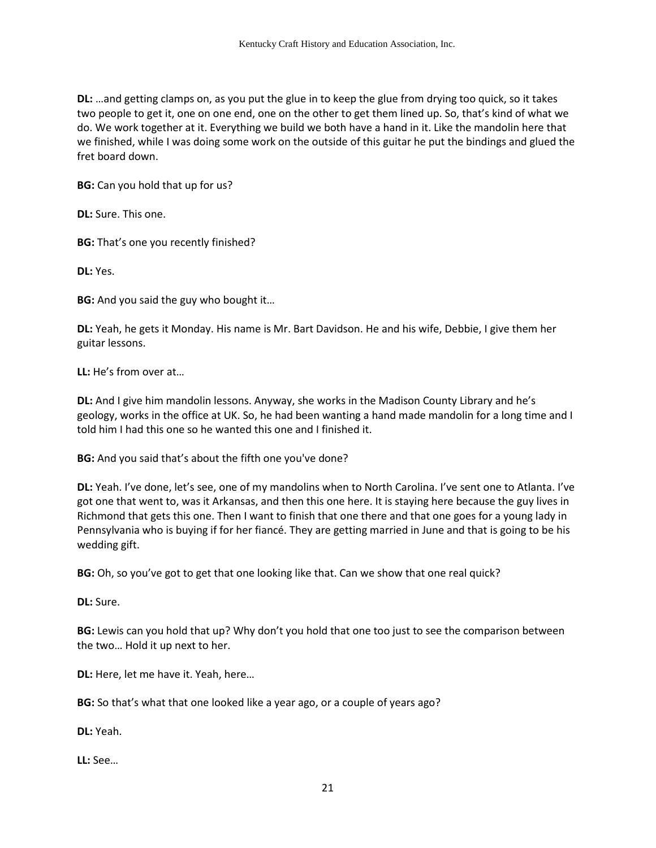**DL:** …and getting clamps on, as you put the glue in to keep the glue from drying too quick, so it takes two people to get it, one on one end, one on the other to get them lined up. So, that's kind of what we do. We work together at it. Everything we build we both have a hand in it. Like the mandolin here that we finished, while I was doing some work on the outside of this guitar he put the bindings and glued the fret board down.

**BG:** Can you hold that up for us?

**DL:** Sure. This one.

**BG:** That's one you recently finished?

**DL:** Yes.

**BG:** And you said the guy who bought it…

**DL:** Yeah, he gets it Monday. His name is Mr. Bart Davidson. He and his wife, Debbie, I give them her guitar lessons.

**LL:** He's from over at…

**DL:** And I give him mandolin lessons. Anyway, she works in the Madison County Library and he's geology, works in the office at UK. So, he had been wanting a hand made mandolin for a long time and I told him I had this one so he wanted this one and I finished it.

**BG:** And you said that's about the fifth one you've done?

**DL:** Yeah. I've done, let's see, one of my mandolins when to North Carolina. I've sent one to Atlanta. I've got one that went to, was it Arkansas, and then this one here. It is staying here because the guy lives in Richmond that gets this one. Then I want to finish that one there and that one goes for a young lady in Pennsylvania who is buying if for her fiancé. They are getting married in June and that is going to be his wedding gift.

**BG:** Oh, so you've got to get that one looking like that. Can we show that one real quick?

**DL:** Sure.

**BG:** Lewis can you hold that up? Why don't you hold that one too just to see the comparison between the two… Hold it up next to her.

**DL:** Here, let me have it. Yeah, here…

**BG:** So that's what that one looked like a year ago, or a couple of years ago?

**DL:** Yeah.

**LL:** See…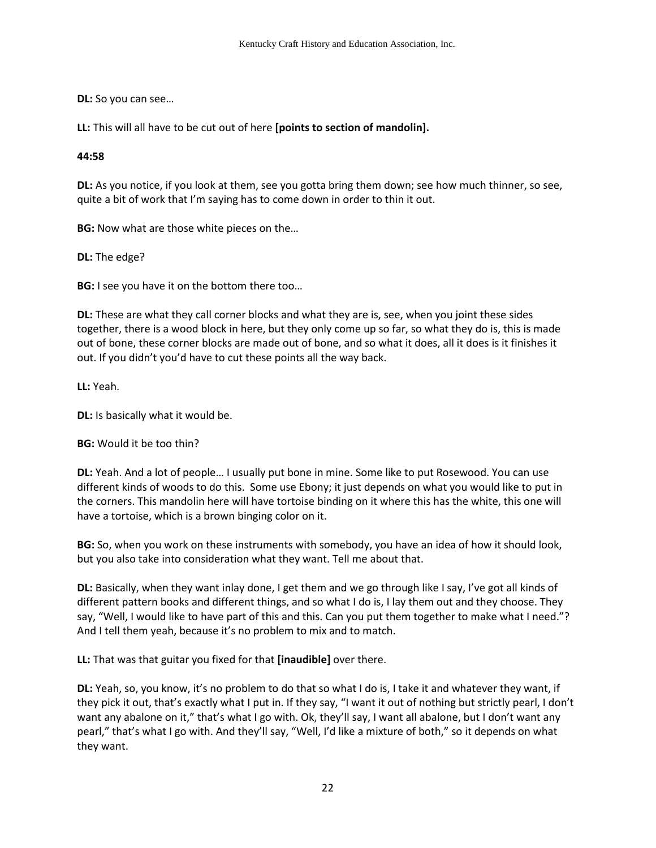**DL:** So you can see…

**LL:** This will all have to be cut out of here **[points to section of mandolin].** 

### **44:58**

**DL:** As you notice, if you look at them, see you gotta bring them down; see how much thinner, so see, quite a bit of work that I'm saying has to come down in order to thin it out.

**BG:** Now what are those white pieces on the…

**DL:** The edge?

**BG:** I see you have it on the bottom there too…

**DL:** These are what they call corner blocks and what they are is, see, when you joint these sides together, there is a wood block in here, but they only come up so far, so what they do is, this is made out of bone, these corner blocks are made out of bone, and so what it does, all it does is it finishes it out. If you didn't you'd have to cut these points all the way back.

**LL:** Yeah.

**DL:** Is basically what it would be.

**BG:** Would it be too thin?

**DL:** Yeah. And a lot of people… I usually put bone in mine. Some like to put Rosewood. You can use different kinds of woods to do this. Some use Ebony; it just depends on what you would like to put in the corners. This mandolin here will have tortoise binding on it where this has the white, this one will have a tortoise, which is a brown binging color on it.

**BG:** So, when you work on these instruments with somebody, you have an idea of how it should look, but you also take into consideration what they want. Tell me about that.

**DL:** Basically, when they want inlay done, I get them and we go through like I say, I've got all kinds of different pattern books and different things, and so what I do is, I lay them out and they choose. They say, "Well, I would like to have part of this and this. Can you put them together to make what I need."? And I tell them yeah, because it's no problem to mix and to match.

**LL:** That was that guitar you fixed for that **[inaudible]** over there.

**DL:** Yeah, so, you know, it's no problem to do that so what I do is, I take it and whatever they want, if they pick it out, that's exactly what I put in. If they say, "I want it out of nothing but strictly pearl, I don't want any abalone on it," that's what I go with. Ok, they'll say, I want all abalone, but I don't want any pearl," that's what I go with. And they'll say, "Well, I'd like a mixture of both," so it depends on what they want.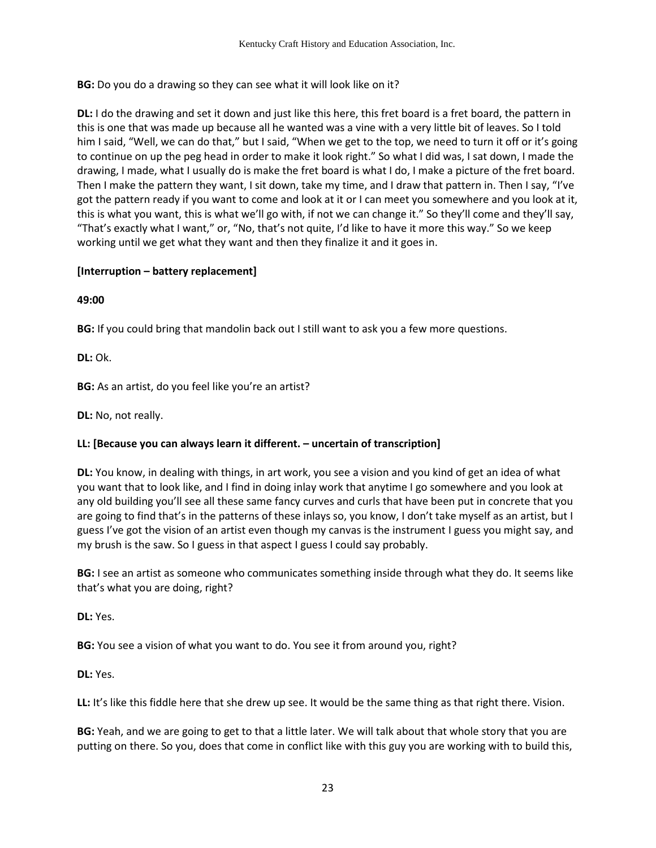**BG:** Do you do a drawing so they can see what it will look like on it?

**DL:** I do the drawing and set it down and just like this here, this fret board is a fret board, the pattern in this is one that was made up because all he wanted was a vine with a very little bit of leaves. So I told him I said, "Well, we can do that," but I said, "When we get to the top, we need to turn it off or it's going to continue on up the peg head in order to make it look right." So what I did was, I sat down, I made the drawing, I made, what I usually do is make the fret board is what I do, I make a picture of the fret board. Then I make the pattern they want, I sit down, take my time, and I draw that pattern in. Then I say, "I've got the pattern ready if you want to come and look at it or I can meet you somewhere and you look at it, this is what you want, this is what we'll go with, if not we can change it." So they'll come and they'll say, "That's exactly what I want," or, "No, that's not quite, I'd like to have it more this way." So we keep working until we get what they want and then they finalize it and it goes in.

# **[Interruption – battery replacement]**

**49:00**

**BG:** If you could bring that mandolin back out I still want to ask you a few more questions.

**DL:** Ok.

**BG:** As an artist, do you feel like you're an artist?

**DL:** No, not really.

# **LL: [Because you can always learn it different. – uncertain of transcription]**

**DL:** You know, in dealing with things, in art work, you see a vision and you kind of get an idea of what you want that to look like, and I find in doing inlay work that anytime I go somewhere and you look at any old building you'll see all these same fancy curves and curls that have been put in concrete that you are going to find that's in the patterns of these inlays so, you know, I don't take myself as an artist, but I guess I've got the vision of an artist even though my canvas is the instrument I guess you might say, and my brush is the saw. So I guess in that aspect I guess I could say probably.

**BG:** I see an artist as someone who communicates something inside through what they do. It seems like that's what you are doing, right?

**DL:** Yes.

**BG:** You see a vision of what you want to do. You see it from around you, right?

**DL:** Yes.

**LL:** It's like this fiddle here that she drew up see. It would be the same thing as that right there. Vision.

**BG:** Yeah, and we are going to get to that a little later. We will talk about that whole story that you are putting on there. So you, does that come in conflict like with this guy you are working with to build this,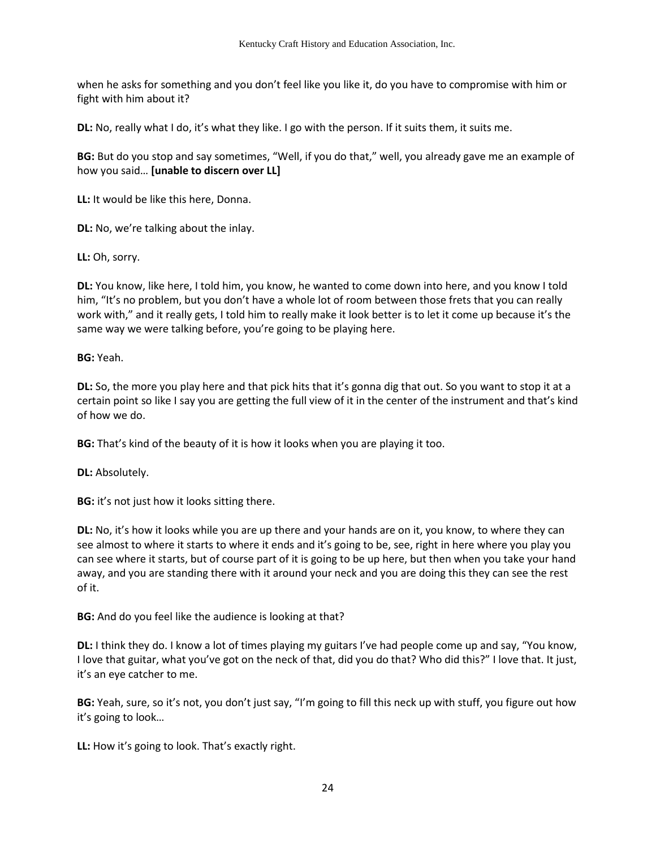when he asks for something and you don't feel like you like it, do you have to compromise with him or fight with him about it?

**DL:** No, really what I do, it's what they like. I go with the person. If it suits them, it suits me.

**BG:** But do you stop and say sometimes, "Well, if you do that," well, you already gave me an example of how you said… **[unable to discern over LL]**

**LL:** It would be like this here, Donna.

**DL:** No, we're talking about the inlay.

**LL:** Oh, sorry.

**DL:** You know, like here, I told him, you know, he wanted to come down into here, and you know I told him, "It's no problem, but you don't have a whole lot of room between those frets that you can really work with," and it really gets, I told him to really make it look better is to let it come up because it's the same way we were talking before, you're going to be playing here.

**BG:** Yeah.

**DL:** So, the more you play here and that pick hits that it's gonna dig that out. So you want to stop it at a certain point so like I say you are getting the full view of it in the center of the instrument and that's kind of how we do.

**BG:** That's kind of the beauty of it is how it looks when you are playing it too.

**DL:** Absolutely.

**BG:** it's not just how it looks sitting there.

**DL:** No, it's how it looks while you are up there and your hands are on it, you know, to where they can see almost to where it starts to where it ends and it's going to be, see, right in here where you play you can see where it starts, but of course part of it is going to be up here, but then when you take your hand away, and you are standing there with it around your neck and you are doing this they can see the rest of it.

**BG:** And do you feel like the audience is looking at that?

**DL:** I think they do. I know a lot of times playing my guitars I've had people come up and say, "You know, I love that guitar, what you've got on the neck of that, did you do that? Who did this?" I love that. It just, it's an eye catcher to me.

**BG:** Yeah, sure, so it's not, you don't just say, "I'm going to fill this neck up with stuff, you figure out how it's going to look…

**LL:** How it's going to look. That's exactly right.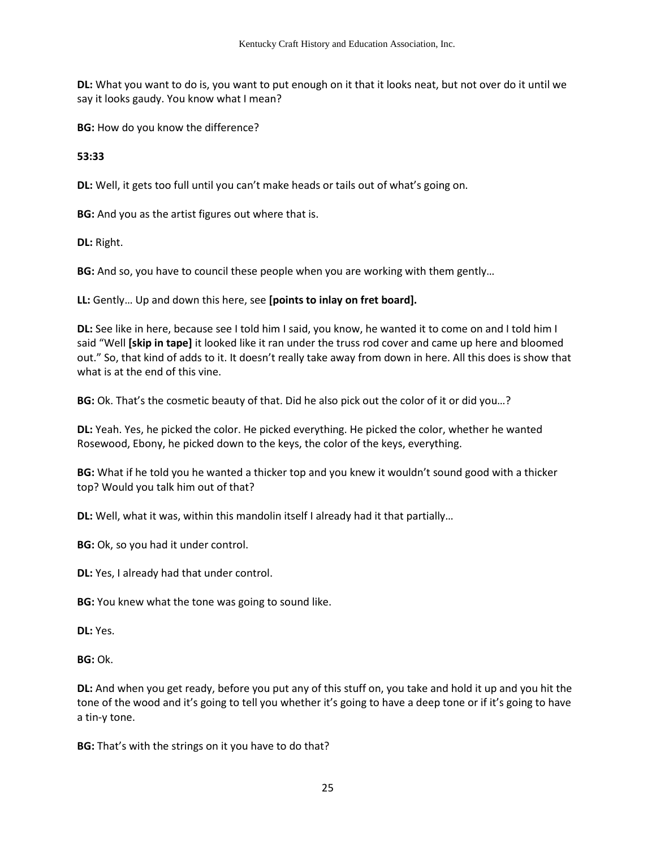**DL:** What you want to do is, you want to put enough on it that it looks neat, but not over do it until we say it looks gaudy. You know what I mean?

**BG:** How do you know the difference?

**53:33**

**DL:** Well, it gets too full until you can't make heads or tails out of what's going on.

**BG:** And you as the artist figures out where that is.

**DL:** Right.

**BG:** And so, you have to council these people when you are working with them gently…

**LL:** Gently… Up and down this here, see **[points to inlay on fret board].**

**DL:** See like in here, because see I told him I said, you know, he wanted it to come on and I told him I said "Well **[skip in tape]** it looked like it ran under the truss rod cover and came up here and bloomed out." So, that kind of adds to it. It doesn't really take away from down in here. All this does is show that what is at the end of this vine.

**BG:** Ok. That's the cosmetic beauty of that. Did he also pick out the color of it or did you…?

**DL:** Yeah. Yes, he picked the color. He picked everything. He picked the color, whether he wanted Rosewood, Ebony, he picked down to the keys, the color of the keys, everything.

**BG:** What if he told you he wanted a thicker top and you knew it wouldn't sound good with a thicker top? Would you talk him out of that?

**DL:** Well, what it was, within this mandolin itself I already had it that partially…

**BG:** Ok, so you had it under control.

**DL:** Yes, I already had that under control.

**BG:** You knew what the tone was going to sound like.

**DL:** Yes.

**BG:** Ok.

**DL:** And when you get ready, before you put any of this stuff on, you take and hold it up and you hit the tone of the wood and it's going to tell you whether it's going to have a deep tone or if it's going to have a tin-y tone.

**BG:** That's with the strings on it you have to do that?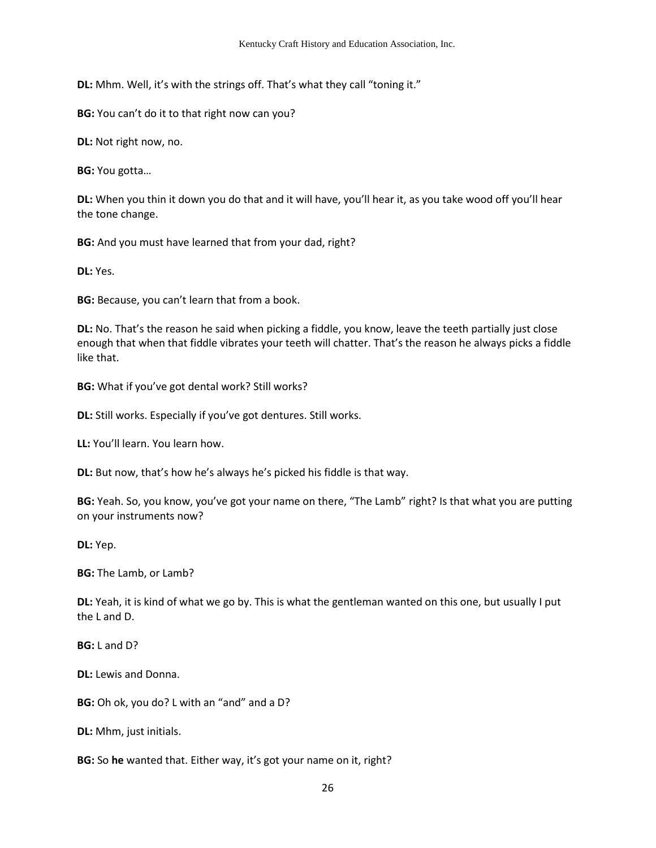**DL:** Mhm. Well, it's with the strings off. That's what they call "toning it."

**BG:** You can't do it to that right now can you?

**DL:** Not right now, no.

**BG:** You gotta…

**DL:** When you thin it down you do that and it will have, you'll hear it, as you take wood off you'll hear the tone change.

**BG:** And you must have learned that from your dad, right?

**DL:** Yes.

**BG:** Because, you can't learn that from a book.

**DL:** No. That's the reason he said when picking a fiddle, you know, leave the teeth partially just close enough that when that fiddle vibrates your teeth will chatter. That's the reason he always picks a fiddle like that.

**BG:** What if you've got dental work? Still works?

**DL:** Still works. Especially if you've got dentures. Still works.

**LL:** You'll learn. You learn how.

**DL:** But now, that's how he's always he's picked his fiddle is that way.

**BG:** Yeah. So, you know, you've got your name on there, "The Lamb" right? Is that what you are putting on your instruments now?

**DL:** Yep.

**BG:** The Lamb, or Lamb?

**DL:** Yeah, it is kind of what we go by. This is what the gentleman wanted on this one, but usually I put the L and D.

**BG:** L and D?

**DL:** Lewis and Donna.

**BG:** Oh ok, you do? L with an "and" and a D?

**DL:** Mhm, just initials.

**BG:** So **he** wanted that. Either way, it's got your name on it, right?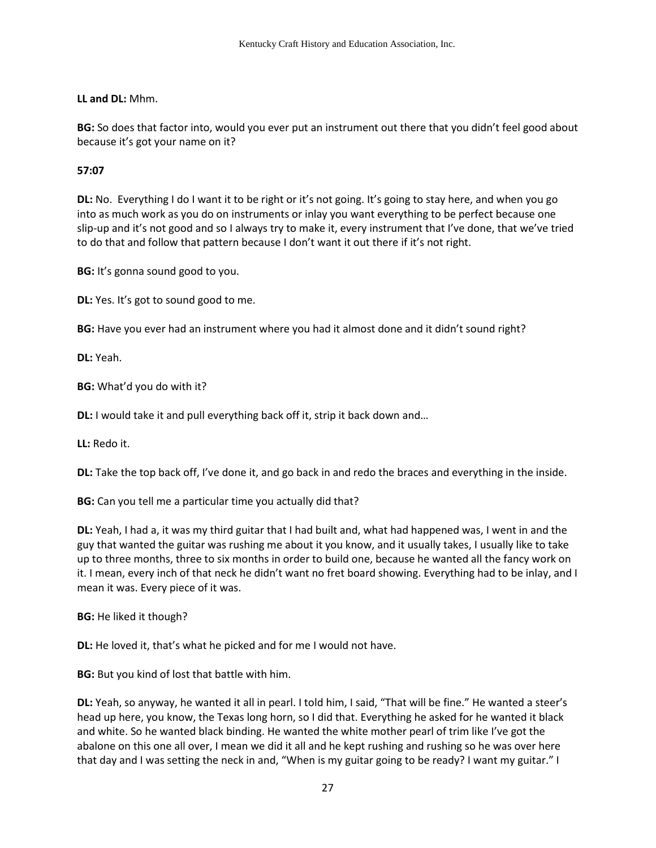# **LL and DL:** Mhm.

**BG:** So does that factor into, would you ever put an instrument out there that you didn't feel good about because it's got your name on it?

### **57:07**

**DL:** No. Everything I do I want it to be right or it's not going. It's going to stay here, and when you go into as much work as you do on instruments or inlay you want everything to be perfect because one slip-up and it's not good and so I always try to make it, every instrument that I've done, that we've tried to do that and follow that pattern because I don't want it out there if it's not right.

**BG:** It's gonna sound good to you.

**DL:** Yes. It's got to sound good to me.

**BG:** Have you ever had an instrument where you had it almost done and it didn't sound right?

**DL:** Yeah.

**BG:** What'd you do with it?

**DL:** I would take it and pull everything back off it, strip it back down and...

**LL:** Redo it.

**DL:** Take the top back off, I've done it, and go back in and redo the braces and everything in the inside.

**BG:** Can you tell me a particular time you actually did that?

**DL:** Yeah, I had a, it was my third guitar that I had built and, what had happened was, I went in and the guy that wanted the guitar was rushing me about it you know, and it usually takes, I usually like to take up to three months, three to six months in order to build one, because he wanted all the fancy work on it. I mean, every inch of that neck he didn't want no fret board showing. Everything had to be inlay, and I mean it was. Every piece of it was.

**BG:** He liked it though?

**DL:** He loved it, that's what he picked and for me I would not have.

**BG:** But you kind of lost that battle with him.

**DL:** Yeah, so anyway, he wanted it all in pearl. I told him, I said, "That will be fine." He wanted a steer's head up here, you know, the Texas long horn, so I did that. Everything he asked for he wanted it black and white. So he wanted black binding. He wanted the white mother pearl of trim like I've got the abalone on this one all over, I mean we did it all and he kept rushing and rushing so he was over here that day and I was setting the neck in and, "When is my guitar going to be ready? I want my guitar." I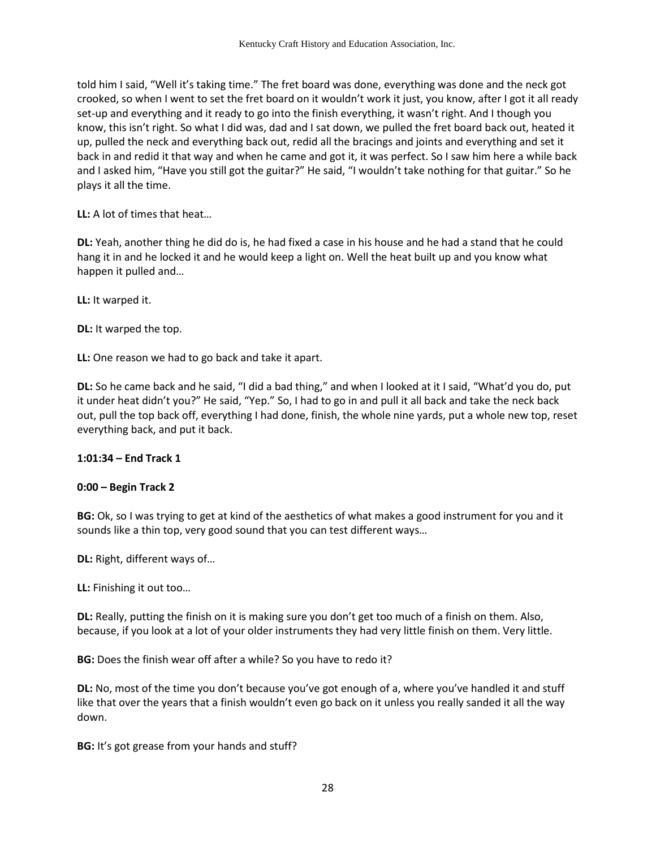told him I said, "Well it's taking time." The fret board was done, everything was done and the neck got crooked, so when I went to set the fret board on it wouldn't work it just, you know, after I got it all ready set-up and everything and it ready to go into the finish everything, it wasn't right. And I though you know, this isn't right. So what I did was, dad and I sat down, we pulled the fret board back out, heated it up, pulled the neck and everything back out, redid all the bracings and joints and everything and set it back in and redid it that way and when he came and got it, it was perfect. So I saw him here a while back and I asked him, "Have you still got the guitar?" He said, "I wouldn't take nothing for that guitar." So he plays it all the time.

**LL:** A lot of times that heat…

**DL:** Yeah, another thing he did do is, he had fixed a case in his house and he had a stand that he could hang it in and he locked it and he would keep a light on. Well the heat built up and you know what happen it pulled and…

**LL:** It warped it.

**DL:** It warped the top.

**LL:** One reason we had to go back and take it apart.

**DL:** So he came back and he said, "I did a bad thing," and when I looked at it I said, "What'd you do, put it under heat didn't you?" He said, "Yep." So, I had to go in and pull it all back and take the neck back out, pull the top back off, everything I had done, finish, the whole nine yards, put a whole new top, reset everything back, and put it back.

### **1:01:34 – End Track 1**

### **0:00 – Begin Track 2**

**BG:** Ok, so I was trying to get at kind of the aesthetics of what makes a good instrument for you and it sounds like a thin top, very good sound that you can test different ways…

**DL:** Right, different ways of…

**LL:** Finishing it out too…

**DL:** Really, putting the finish on it is making sure you don't get too much of a finish on them. Also, because, if you look at a lot of your older instruments they had very little finish on them. Very little.

**BG:** Does the finish wear off after a while? So you have to redo it?

**DL:** No, most of the time you don't because you've got enough of a, where you've handled it and stuff like that over the years that a finish wouldn't even go back on it unless you really sanded it all the way down.

**BG:** It's got grease from your hands and stuff?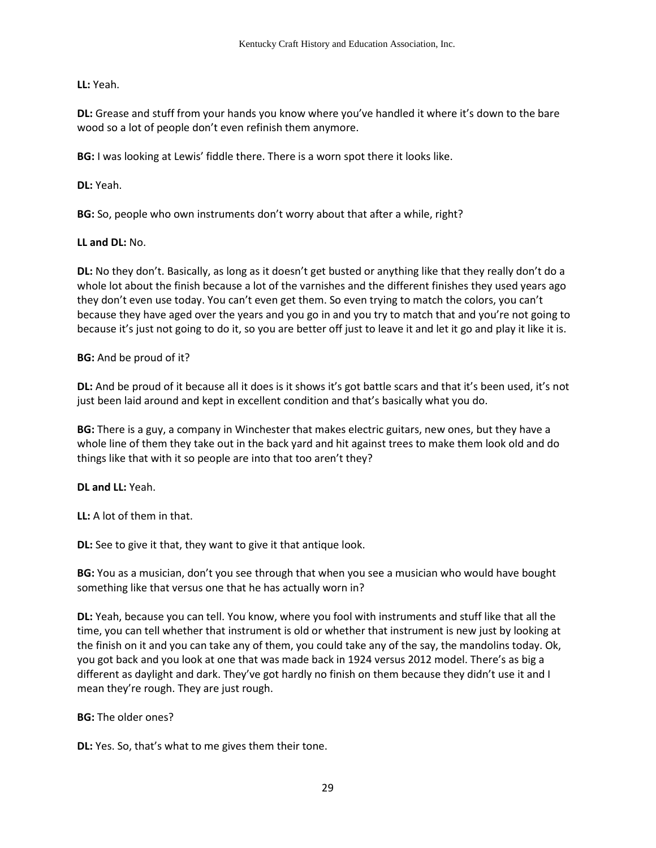# **LL:** Yeah.

**DL:** Grease and stuff from your hands you know where you've handled it where it's down to the bare wood so a lot of people don't even refinish them anymore.

**BG:** I was looking at Lewis' fiddle there. There is a worn spot there it looks like.

**DL:** Yeah.

**BG:** So, people who own instruments don't worry about that after a while, right?

### **LL and DL:** No.

**DL:** No they don't. Basically, as long as it doesn't get busted or anything like that they really don't do a whole lot about the finish because a lot of the varnishes and the different finishes they used years ago they don't even use today. You can't even get them. So even trying to match the colors, you can't because they have aged over the years and you go in and you try to match that and you're not going to because it's just not going to do it, so you are better off just to leave it and let it go and play it like it is.

### **BG:** And be proud of it?

**DL:** And be proud of it because all it does is it shows it's got battle scars and that it's been used, it's not just been laid around and kept in excellent condition and that's basically what you do.

**BG:** There is a guy, a company in Winchester that makes electric guitars, new ones, but they have a whole line of them they take out in the back yard and hit against trees to make them look old and do things like that with it so people are into that too aren't they?

### **DL and LL:** Yeah.

**LL:** A lot of them in that.

**DL:** See to give it that, they want to give it that antique look.

**BG:** You as a musician, don't you see through that when you see a musician who would have bought something like that versus one that he has actually worn in?

**DL:** Yeah, because you can tell. You know, where you fool with instruments and stuff like that all the time, you can tell whether that instrument is old or whether that instrument is new just by looking at the finish on it and you can take any of them, you could take any of the say, the mandolins today. Ok, you got back and you look at one that was made back in 1924 versus 2012 model. There's as big a different as daylight and dark. They've got hardly no finish on them because they didn't use it and I mean they're rough. They are just rough.

**BG:** The older ones?

**DL:** Yes. So, that's what to me gives them their tone.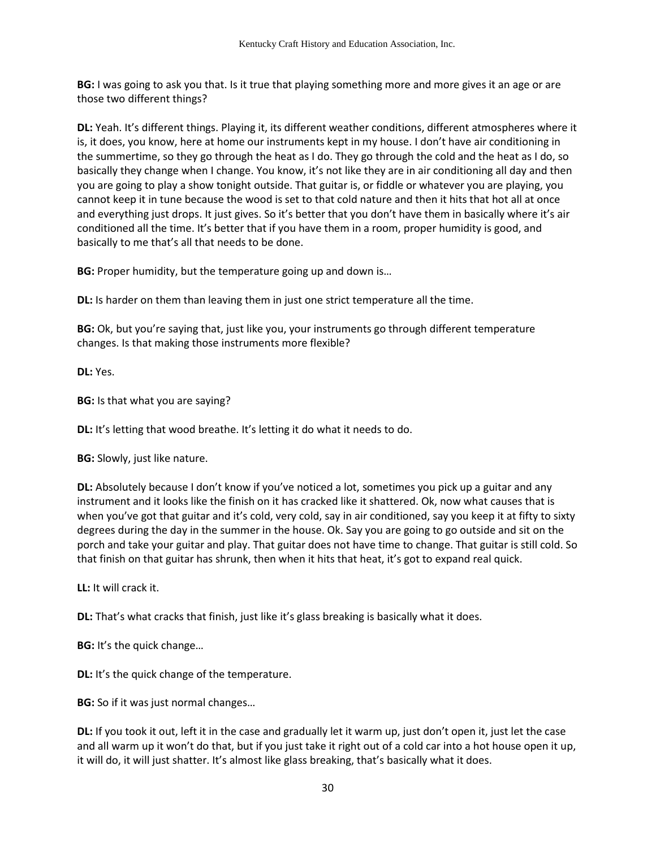**BG:** I was going to ask you that. Is it true that playing something more and more gives it an age or are those two different things?

**DL:** Yeah. It's different things. Playing it, its different weather conditions, different atmospheres where it is, it does, you know, here at home our instruments kept in my house. I don't have air conditioning in the summertime, so they go through the heat as I do. They go through the cold and the heat as I do, so basically they change when I change. You know, it's not like they are in air conditioning all day and then you are going to play a show tonight outside. That guitar is, or fiddle or whatever you are playing, you cannot keep it in tune because the wood is set to that cold nature and then it hits that hot all at once and everything just drops. It just gives. So it's better that you don't have them in basically where it's air conditioned all the time. It's better that if you have them in a room, proper humidity is good, and basically to me that's all that needs to be done.

**BG:** Proper humidity, but the temperature going up and down is…

**DL:** Is harder on them than leaving them in just one strict temperature all the time.

**BG:** Ok, but you're saying that, just like you, your instruments go through different temperature changes. Is that making those instruments more flexible?

**DL:** Yes.

**BG:** Is that what you are saying?

**DL:** It's letting that wood breathe. It's letting it do what it needs to do.

**BG:** Slowly, just like nature.

**DL:** Absolutely because I don't know if you've noticed a lot, sometimes you pick up a guitar and any instrument and it looks like the finish on it has cracked like it shattered. Ok, now what causes that is when you've got that guitar and it's cold, very cold, say in air conditioned, say you keep it at fifty to sixty degrees during the day in the summer in the house. Ok. Say you are going to go outside and sit on the porch and take your guitar and play. That guitar does not have time to change. That guitar is still cold. So that finish on that guitar has shrunk, then when it hits that heat, it's got to expand real quick.

**LL:** It will crack it.

**DL:** That's what cracks that finish, just like it's glass breaking is basically what it does.

**BG:** It's the quick change…

**DL:** It's the quick change of the temperature.

**BG:** So if it was just normal changes…

**DL:** If you took it out, left it in the case and gradually let it warm up, just don't open it, just let the case and all warm up it won't do that, but if you just take it right out of a cold car into a hot house open it up, it will do, it will just shatter. It's almost like glass breaking, that's basically what it does.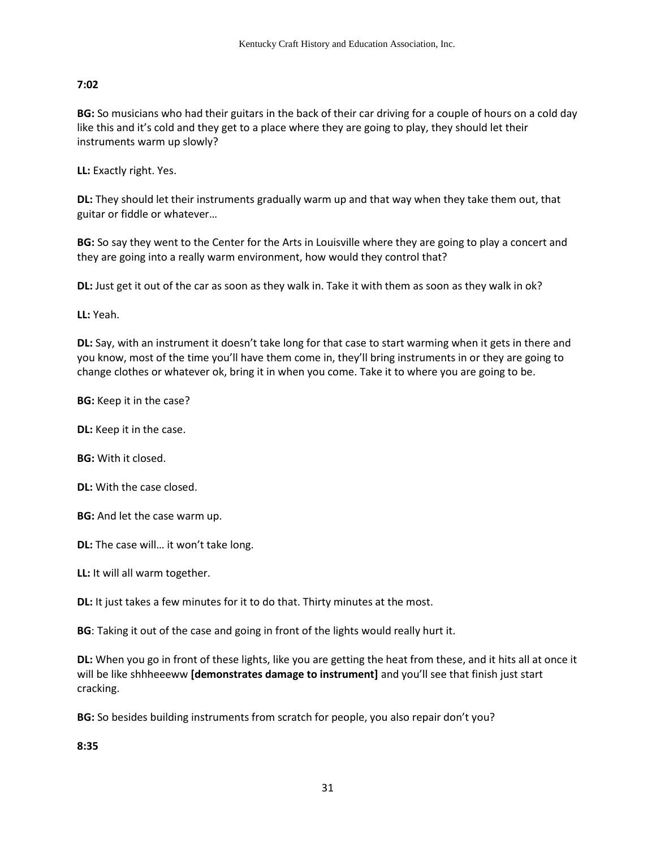## **7:02**

**BG:** So musicians who had their guitars in the back of their car driving for a couple of hours on a cold day like this and it's cold and they get to a place where they are going to play, they should let their instruments warm up slowly?

**LL:** Exactly right. Yes.

**DL:** They should let their instruments gradually warm up and that way when they take them out, that guitar or fiddle or whatever…

**BG:** So say they went to the Center for the Arts in Louisville where they are going to play a concert and they are going into a really warm environment, how would they control that?

**DL:** Just get it out of the car as soon as they walk in. Take it with them as soon as they walk in ok?

**LL:** Yeah.

**DL:** Say, with an instrument it doesn't take long for that case to start warming when it gets in there and you know, most of the time you'll have them come in, they'll bring instruments in or they are going to change clothes or whatever ok, bring it in when you come. Take it to where you are going to be.

**BG:** Keep it in the case?

**DL:** Keep it in the case.

**BG:** With it closed.

**DL:** With the case closed.

**BG:** And let the case warm up.

**DL:** The case will… it won't take long.

**LL:** It will all warm together.

**DL:** It just takes a few minutes for it to do that. Thirty minutes at the most.

**BG**: Taking it out of the case and going in front of the lights would really hurt it.

**DL:** When you go in front of these lights, like you are getting the heat from these, and it hits all at once it will be like shhheeeww **[demonstrates damage to instrument]** and you'll see that finish just start cracking.

**BG:** So besides building instruments from scratch for people, you also repair don't you?

**8:35**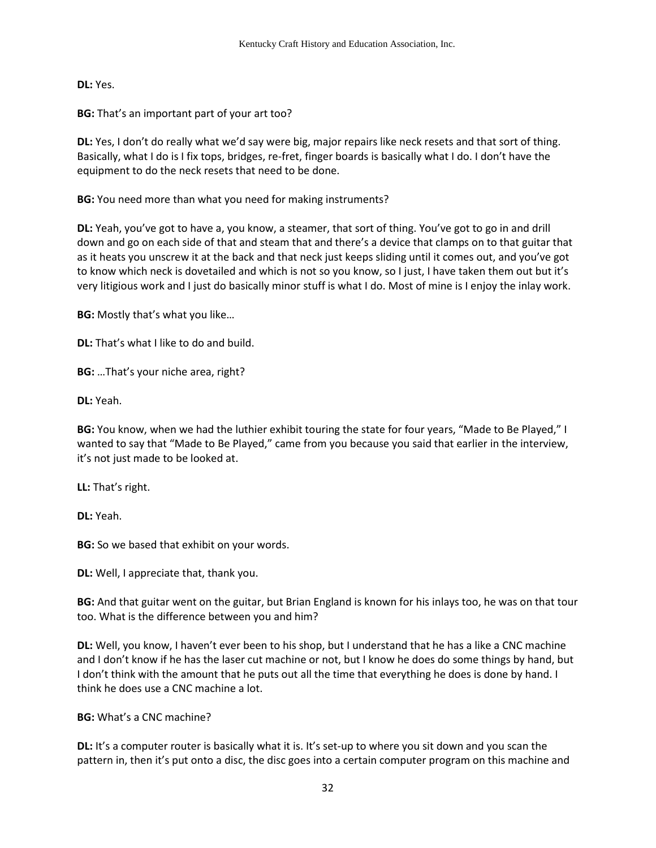**DL:** Yes.

**BG:** That's an important part of your art too?

**DL:** Yes, I don't do really what we'd say were big, major repairs like neck resets and that sort of thing. Basically, what I do is I fix tops, bridges, re-fret, finger boards is basically what I do. I don't have the equipment to do the neck resets that need to be done.

**BG:** You need more than what you need for making instruments?

**DL:** Yeah, you've got to have a, you know, a steamer, that sort of thing. You've got to go in and drill down and go on each side of that and steam that and there's a device that clamps on to that guitar that as it heats you unscrew it at the back and that neck just keeps sliding until it comes out, and you've got to know which neck is dovetailed and which is not so you know, so I just, I have taken them out but it's very litigious work and I just do basically minor stuff is what I do. Most of mine is I enjoy the inlay work.

**BG:** Mostly that's what you like…

**DL:** That's what I like to do and build.

**BG:** …That's your niche area, right?

**DL:** Yeah.

**BG:** You know, when we had the luthier exhibit touring the state for four years, "Made to Be Played," I wanted to say that "Made to Be Played," came from you because you said that earlier in the interview, it's not just made to be looked at.

**LL:** That's right.

**DL:** Yeah.

**BG:** So we based that exhibit on your words.

**DL:** Well, I appreciate that, thank you.

**BG:** And that guitar went on the guitar, but Brian England is known for his inlays too, he was on that tour too. What is the difference between you and him?

**DL:** Well, you know, I haven't ever been to his shop, but I understand that he has a like a CNC machine and I don't know if he has the laser cut machine or not, but I know he does do some things by hand, but I don't think with the amount that he puts out all the time that everything he does is done by hand. I think he does use a CNC machine a lot.

### **BG:** What's a CNC machine?

**DL:** It's a computer router is basically what it is. It's set-up to where you sit down and you scan the pattern in, then it's put onto a disc, the disc goes into a certain computer program on this machine and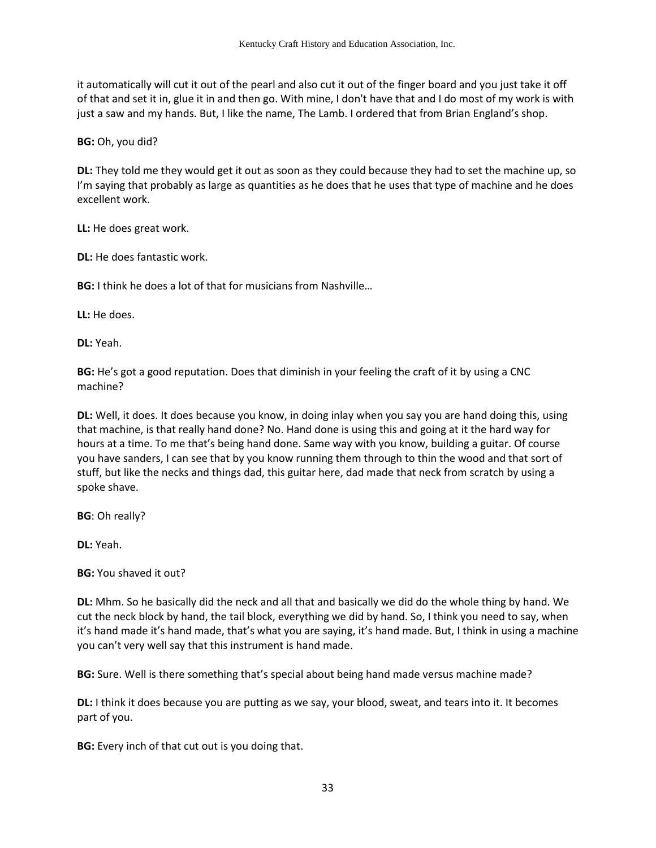it automatically will cut it out of the pearl and also cut it out of the finger board and you just take it off of that and set it in, glue it in and then go. With mine, I don't have that and I do most of my work is with just a saw and my hands. But, I like the name, The Lamb. I ordered that from Brian England's shop.

**BG:** Oh, you did?

**DL:** They told me they would get it out as soon as they could because they had to set the machine up, so I'm saying that probably as large as quantities as he does that he uses that type of machine and he does excellent work.

**LL:** He does great work.

**DL:** He does fantastic work.

**BG:** I think he does a lot of that for musicians from Nashville...

**LL:** He does.

**DL:** Yeah.

**BG:** He's got a good reputation. Does that diminish in your feeling the craft of it by using a CNC machine?

**DL:** Well, it does. It does because you know, in doing inlay when you say you are hand doing this, using that machine, is that really hand done? No. Hand done is using this and going at it the hard way for hours at a time. To me that's being hand done. Same way with you know, building a guitar. Of course you have sanders, I can see that by you know running them through to thin the wood and that sort of stuff, but like the necks and things dad, this guitar here, dad made that neck from scratch by using a spoke shave.

**BG**: Oh really?

**DL:** Yeah.

**BG:** You shaved it out?

**DL:** Mhm. So he basically did the neck and all that and basically we did do the whole thing by hand. We cut the neck block by hand, the tail block, everything we did by hand. So, I think you need to say, when it's hand made it's hand made, that's what you are saying, it's hand made. But, I think in using a machine you can't very well say that this instrument is hand made.

**BG:** Sure. Well is there something that's special about being hand made versus machine made?

**DL:** I think it does because you are putting as we say, your blood, sweat, and tears into it. It becomes part of you.

**BG:** Every inch of that cut out is you doing that.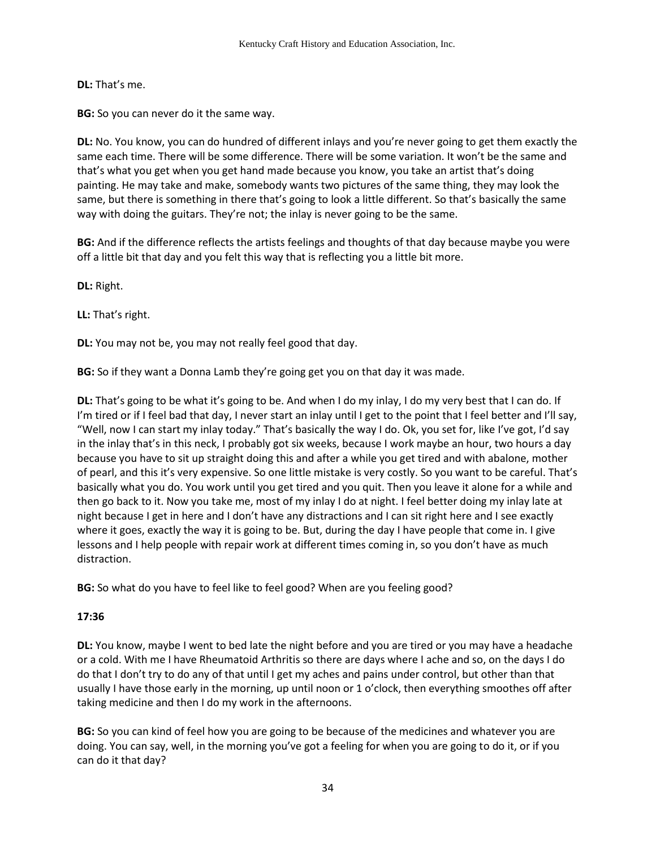**DL:** That's me.

**BG:** So you can never do it the same way.

**DL:** No. You know, you can do hundred of different inlays and you're never going to get them exactly the same each time. There will be some difference. There will be some variation. It won't be the same and that's what you get when you get hand made because you know, you take an artist that's doing painting. He may take and make, somebody wants two pictures of the same thing, they may look the same, but there is something in there that's going to look a little different. So that's basically the same way with doing the guitars. They're not; the inlay is never going to be the same.

**BG:** And if the difference reflects the artists feelings and thoughts of that day because maybe you were off a little bit that day and you felt this way that is reflecting you a little bit more.

**DL:** Right.

**LL:** That's right.

**DL:** You may not be, you may not really feel good that day.

**BG:** So if they want a Donna Lamb they're going get you on that day it was made.

**DL:** That's going to be what it's going to be. And when I do my inlay, I do my very best that I can do. If I'm tired or if I feel bad that day, I never start an inlay until I get to the point that I feel better and I'll say, "Well, now I can start my inlay today." That's basically the way I do. Ok, you set for, like I've got, I'd say in the inlay that's in this neck, I probably got six weeks, because I work maybe an hour, two hours a day because you have to sit up straight doing this and after a while you get tired and with abalone, mother of pearl, and this it's very expensive. So one little mistake is very costly. So you want to be careful. That's basically what you do. You work until you get tired and you quit. Then you leave it alone for a while and then go back to it. Now you take me, most of my inlay I do at night. I feel better doing my inlay late at night because I get in here and I don't have any distractions and I can sit right here and I see exactly where it goes, exactly the way it is going to be. But, during the day I have people that come in. I give lessons and I help people with repair work at different times coming in, so you don't have as much distraction.

**BG:** So what do you have to feel like to feel good? When are you feeling good?

# **17:36**

**DL:** You know, maybe I went to bed late the night before and you are tired or you may have a headache or a cold. With me I have Rheumatoid Arthritis so there are days where I ache and so, on the days I do do that I don't try to do any of that until I get my aches and pains under control, but other than that usually I have those early in the morning, up until noon or 1 o'clock, then everything smoothes off after taking medicine and then I do my work in the afternoons.

**BG:** So you can kind of feel how you are going to be because of the medicines and whatever you are doing. You can say, well, in the morning you've got a feeling for when you are going to do it, or if you can do it that day?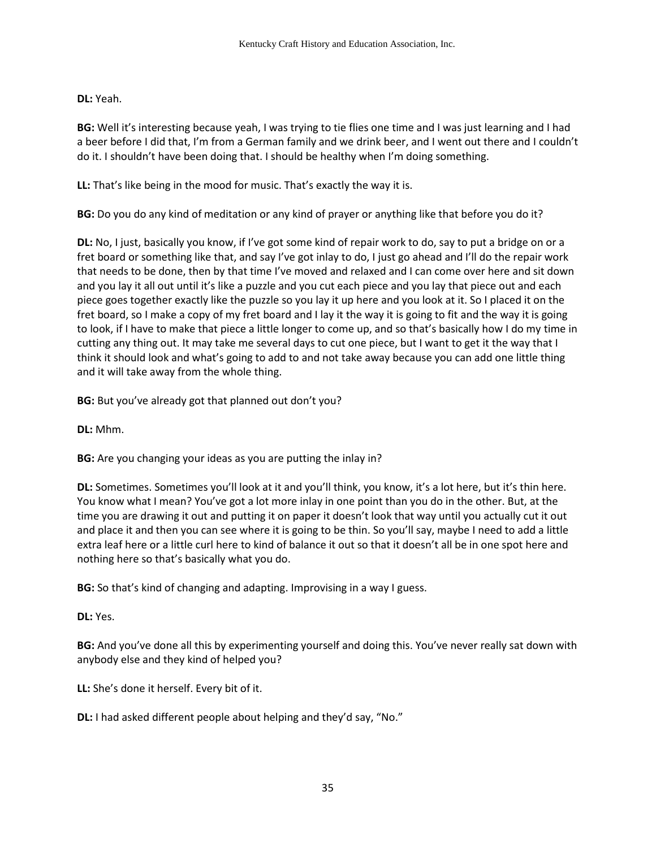# **DL:** Yeah.

**BG:** Well it's interesting because yeah, I was trying to tie flies one time and I was just learning and I had a beer before I did that, I'm from a German family and we drink beer, and I went out there and I couldn't do it. I shouldn't have been doing that. I should be healthy when I'm doing something.

**LL:** That's like being in the mood for music. That's exactly the way it is.

**BG:** Do you do any kind of meditation or any kind of prayer or anything like that before you do it?

**DL:** No, I just, basically you know, if I've got some kind of repair work to do, say to put a bridge on or a fret board or something like that, and say I've got inlay to do, I just go ahead and I'll do the repair work that needs to be done, then by that time I've moved and relaxed and I can come over here and sit down and you lay it all out until it's like a puzzle and you cut each piece and you lay that piece out and each piece goes together exactly like the puzzle so you lay it up here and you look at it. So I placed it on the fret board, so I make a copy of my fret board and I lay it the way it is going to fit and the way it is going to look, if I have to make that piece a little longer to come up, and so that's basically how I do my time in cutting any thing out. It may take me several days to cut one piece, but I want to get it the way that I think it should look and what's going to add to and not take away because you can add one little thing and it will take away from the whole thing.

**BG:** But you've already got that planned out don't you?

**DL:** Mhm.

**BG:** Are you changing your ideas as you are putting the inlay in?

**DL:** Sometimes. Sometimes you'll look at it and you'll think, you know, it's a lot here, but it's thin here. You know what I mean? You've got a lot more inlay in one point than you do in the other. But, at the time you are drawing it out and putting it on paper it doesn't look that way until you actually cut it out and place it and then you can see where it is going to be thin. So you'll say, maybe I need to add a little extra leaf here or a little curl here to kind of balance it out so that it doesn't all be in one spot here and nothing here so that's basically what you do.

**BG:** So that's kind of changing and adapting. Improvising in a way I guess.

**DL:** Yes.

**BG:** And you've done all this by experimenting yourself and doing this. You've never really sat down with anybody else and they kind of helped you?

**LL:** She's done it herself. Every bit of it.

**DL:** I had asked different people about helping and they'd say, "No."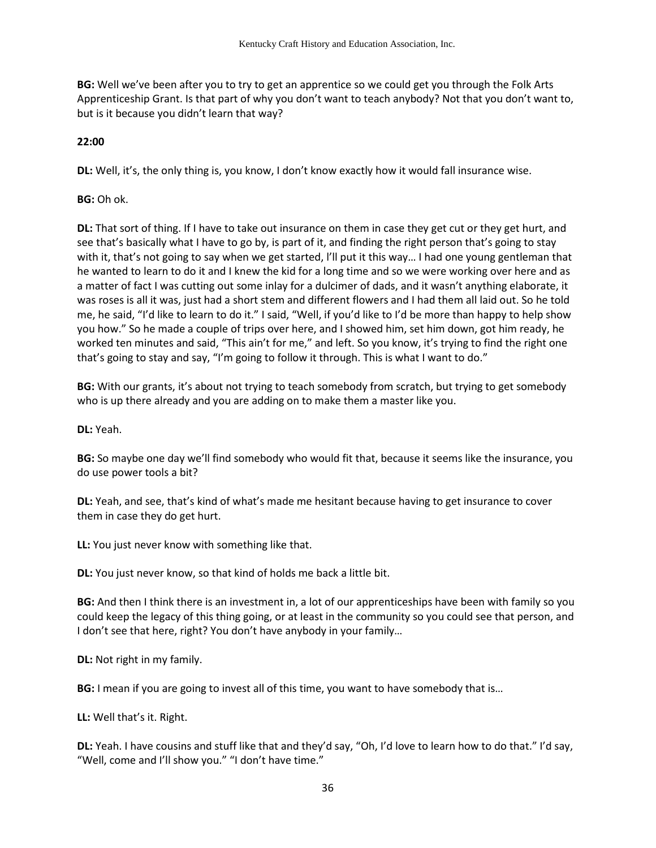**BG:** Well we've been after you to try to get an apprentice so we could get you through the Folk Arts Apprenticeship Grant. Is that part of why you don't want to teach anybody? Not that you don't want to, but is it because you didn't learn that way?

# **22:00**

**DL:** Well, it's, the only thing is, you know, I don't know exactly how it would fall insurance wise.

**BG:** Oh ok.

**DL:** That sort of thing. If I have to take out insurance on them in case they get cut or they get hurt, and see that's basically what I have to go by, is part of it, and finding the right person that's going to stay with it, that's not going to say when we get started, I'll put it this way... I had one young gentleman that he wanted to learn to do it and I knew the kid for a long time and so we were working over here and as a matter of fact I was cutting out some inlay for a dulcimer of dads, and it wasn't anything elaborate, it was roses is all it was, just had a short stem and different flowers and I had them all laid out. So he told me, he said, "I'd like to learn to do it." I said, "Well, if you'd like to I'd be more than happy to help show you how." So he made a couple of trips over here, and I showed him, set him down, got him ready, he worked ten minutes and said, "This ain't for me," and left. So you know, it's trying to find the right one that's going to stay and say, "I'm going to follow it through. This is what I want to do."

**BG:** With our grants, it's about not trying to teach somebody from scratch, but trying to get somebody who is up there already and you are adding on to make them a master like you.

**DL:** Yeah.

**BG:** So maybe one day we'll find somebody who would fit that, because it seems like the insurance, you do use power tools a bit?

**DL:** Yeah, and see, that's kind of what's made me hesitant because having to get insurance to cover them in case they do get hurt.

**LL:** You just never know with something like that.

**DL:** You just never know, so that kind of holds me back a little bit.

**BG:** And then I think there is an investment in, a lot of our apprenticeships have been with family so you could keep the legacy of this thing going, or at least in the community so you could see that person, and I don't see that here, right? You don't have anybody in your family…

**DL:** Not right in my family.

**BG:** I mean if you are going to invest all of this time, you want to have somebody that is…

**LL:** Well that's it. Right.

**DL:** Yeah. I have cousins and stuff like that and they'd say, "Oh, I'd love to learn how to do that." I'd say, "Well, come and I'll show you." "I don't have time."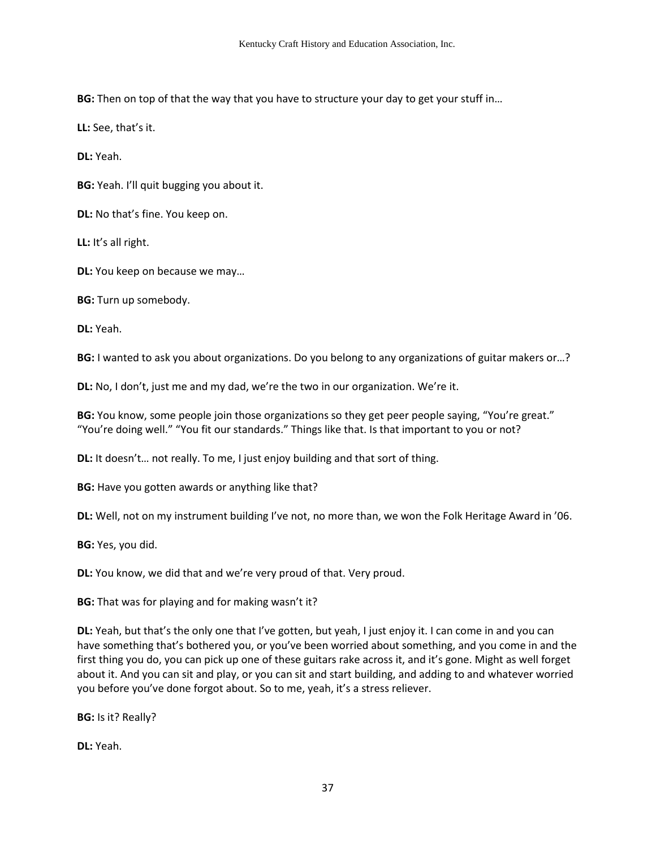**BG:** Then on top of that the way that you have to structure your day to get your stuff in…

**LL:** See, that's it.

**DL:** Yeah.

**BG:** Yeah. I'll quit bugging you about it.

**DL:** No that's fine. You keep on.

**LL:** It's all right.

**DL:** You keep on because we may…

**BG:** Turn up somebody.

**DL:** Yeah.

**BG:** I wanted to ask you about organizations. Do you belong to any organizations of guitar makers or…?

**DL:** No, I don't, just me and my dad, we're the two in our organization. We're it.

**BG:** You know, some people join those organizations so they get peer people saying, "You're great." "You're doing well." "You fit our standards." Things like that. Is that important to you or not?

**DL:** It doesn't… not really. To me, I just enjoy building and that sort of thing.

**BG:** Have you gotten awards or anything like that?

**DL:** Well, not on my instrument building I've not, no more than, we won the Folk Heritage Award in '06.

**BG:** Yes, you did.

**DL:** You know, we did that and we're very proud of that. Very proud.

**BG:** That was for playing and for making wasn't it?

**DL:** Yeah, but that's the only one that I've gotten, but yeah, I just enjoy it. I can come in and you can have something that's bothered you, or you've been worried about something, and you come in and the first thing you do, you can pick up one of these guitars rake across it, and it's gone. Might as well forget about it. And you can sit and play, or you can sit and start building, and adding to and whatever worried you before you've done forgot about. So to me, yeah, it's a stress reliever.

**BG:** Is it? Really?

**DL:** Yeah.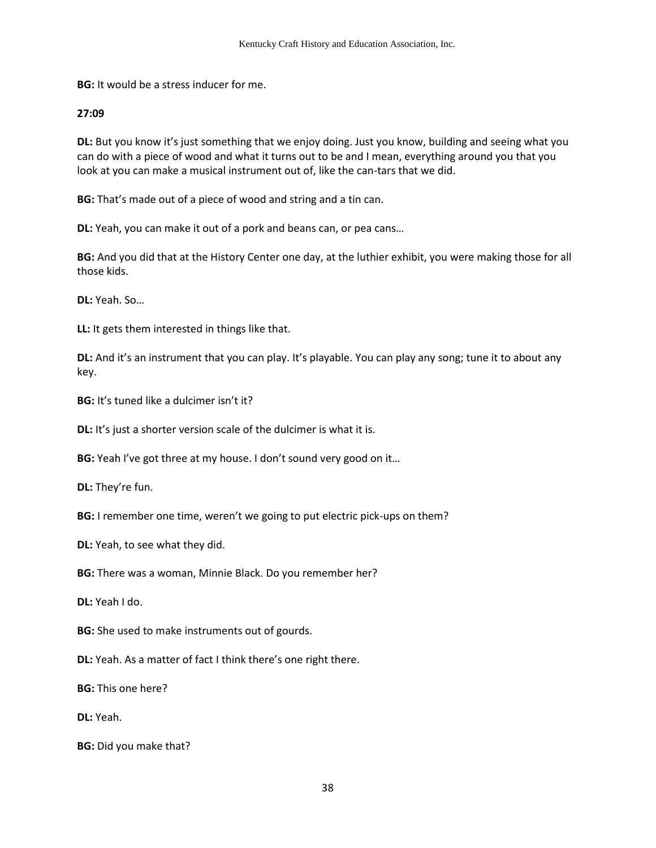**BG:** It would be a stress inducer for me.

#### **27:09**

**DL:** But you know it's just something that we enjoy doing. Just you know, building and seeing what you can do with a piece of wood and what it turns out to be and I mean, everything around you that you look at you can make a musical instrument out of, like the can-tars that we did.

**BG:** That's made out of a piece of wood and string and a tin can.

**DL:** Yeah, you can make it out of a pork and beans can, or pea cans…

**BG:** And you did that at the History Center one day, at the luthier exhibit, you were making those for all those kids.

**DL:** Yeah. So…

**LL:** It gets them interested in things like that.

**DL:** And it's an instrument that you can play. It's playable. You can play any song; tune it to about any key.

**BG:** It's tuned like a dulcimer isn't it?

**DL:** It's just a shorter version scale of the dulcimer is what it is.

**BG:** Yeah I've got three at my house. I don't sound very good on it...

**DL:** They're fun.

**BG:** I remember one time, weren't we going to put electric pick-ups on them?

**DL:** Yeah, to see what they did.

**BG:** There was a woman, Minnie Black. Do you remember her?

**DL:** Yeah I do.

**BG:** She used to make instruments out of gourds.

**DL:** Yeah. As a matter of fact I think there's one right there.

**BG:** This one here?

**DL:** Yeah.

**BG:** Did you make that?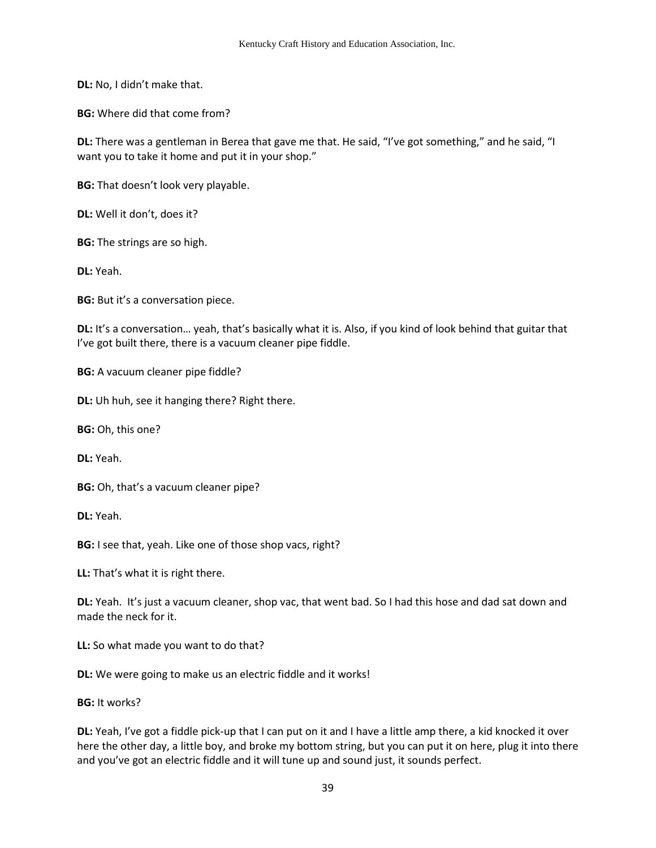**DL:** No, I didn't make that.

**BG:** Where did that come from?

**DL:** There was a gentleman in Berea that gave me that. He said, "I've got something," and he said, "I want you to take it home and put it in your shop."

**BG:** That doesn't look very playable.

**DL:** Well it don't, does it?

**BG:** The strings are so high.

**DL:** Yeah.

**BG:** But it's a conversation piece.

**DL:** It's a conversation… yeah, that's basically what it is. Also, if you kind of look behind that guitar that I've got built there, there is a vacuum cleaner pipe fiddle.

**BG:** A vacuum cleaner pipe fiddle?

**DL:** Uh huh, see it hanging there? Right there.

**BG:** Oh, this one?

**DL:** Yeah.

**BG:** Oh, that's a vacuum cleaner pipe?

**DL:** Yeah.

**BG:** I see that, yeah. Like one of those shop vacs, right?

**LL:** That's what it is right there.

**DL:** Yeah. It's just a vacuum cleaner, shop vac, that went bad. So I had this hose and dad sat down and made the neck for it.

**LL:** So what made you want to do that?

**DL:** We were going to make us an electric fiddle and it works!

**BG:** It works?

**DL:** Yeah, I've got a fiddle pick-up that I can put on it and I have a little amp there, a kid knocked it over here the other day, a little boy, and broke my bottom string, but you can put it on here, plug it into there and you've got an electric fiddle and it will tune up and sound just, it sounds perfect.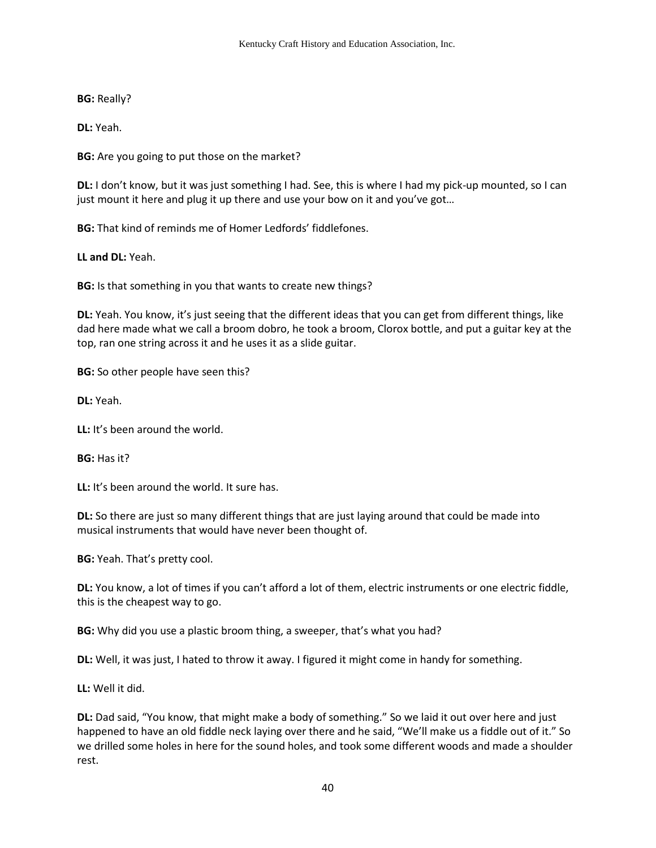**BG:** Really?

**DL:** Yeah.

**BG:** Are you going to put those on the market?

**DL:** I don't know, but it was just something I had. See, this is where I had my pick-up mounted, so I can just mount it here and plug it up there and use your bow on it and you've got…

**BG:** That kind of reminds me of Homer Ledfords' fiddlefones.

**LL and DL:** Yeah.

**BG:** Is that something in you that wants to create new things?

**DL:** Yeah. You know, it's just seeing that the different ideas that you can get from different things, like dad here made what we call a broom dobro, he took a broom, Clorox bottle, and put a guitar key at the top, ran one string across it and he uses it as a slide guitar.

**BG:** So other people have seen this?

**DL:** Yeah.

**LL:** It's been around the world.

**BG:** Has it?

**LL:** It's been around the world. It sure has.

**DL:** So there are just so many different things that are just laying around that could be made into musical instruments that would have never been thought of.

**BG:** Yeah. That's pretty cool.

**DL:** You know, a lot of times if you can't afford a lot of them, electric instruments or one electric fiddle, this is the cheapest way to go.

**BG:** Why did you use a plastic broom thing, a sweeper, that's what you had?

**DL:** Well, it was just, I hated to throw it away. I figured it might come in handy for something.

**LL:** Well it did.

**DL:** Dad said, "You know, that might make a body of something." So we laid it out over here and just happened to have an old fiddle neck laying over there and he said, "We'll make us a fiddle out of it." So we drilled some holes in here for the sound holes, and took some different woods and made a shoulder rest.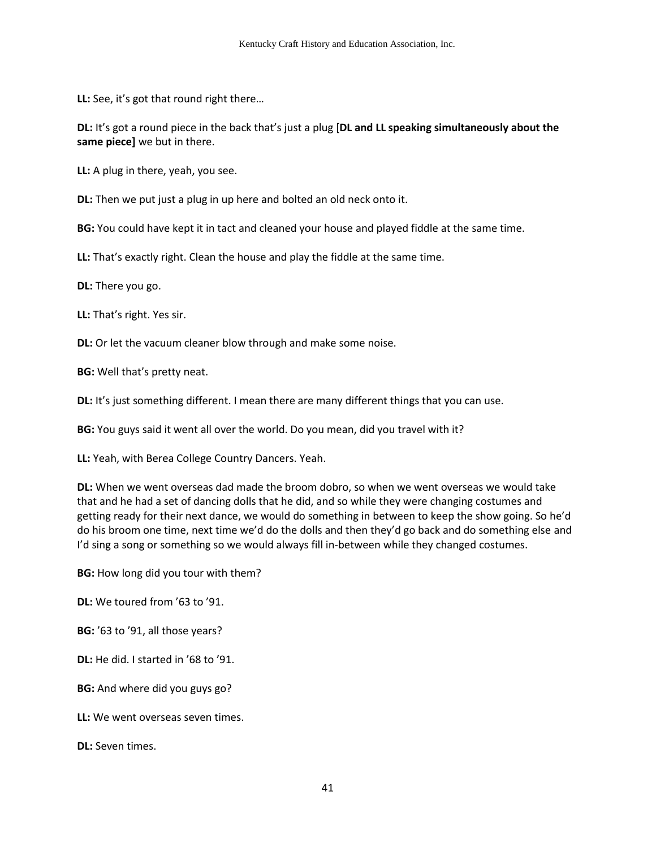**LL:** See, it's got that round right there…

**DL:** It's got a round piece in the back that's just a plug [**DL and LL speaking simultaneously about the same piece]** we but in there.

**LL:** A plug in there, yeah, you see.

**DL:** Then we put just a plug in up here and bolted an old neck onto it.

**BG:** You could have kept it in tact and cleaned your house and played fiddle at the same time.

**LL:** That's exactly right. Clean the house and play the fiddle at the same time.

**DL:** There you go.

**LL:** That's right. Yes sir.

**DL:** Or let the vacuum cleaner blow through and make some noise.

**BG:** Well that's pretty neat.

**DL:** It's just something different. I mean there are many different things that you can use.

**BG:** You guys said it went all over the world. Do you mean, did you travel with it?

**LL:** Yeah, with Berea College Country Dancers. Yeah.

**DL:** When we went overseas dad made the broom dobro, so when we went overseas we would take that and he had a set of dancing dolls that he did, and so while they were changing costumes and getting ready for their next dance, we would do something in between to keep the show going. So he'd do his broom one time, next time we'd do the dolls and then they'd go back and do something else and I'd sing a song or something so we would always fill in-between while they changed costumes.

**BG:** How long did you tour with them?

**DL:** We toured from '63 to '91.

**BG:** '63 to '91, all those years?

**DL:** He did. I started in '68 to '91.

**BG:** And where did you guys go?

**LL:** We went overseas seven times.

**DL:** Seven times.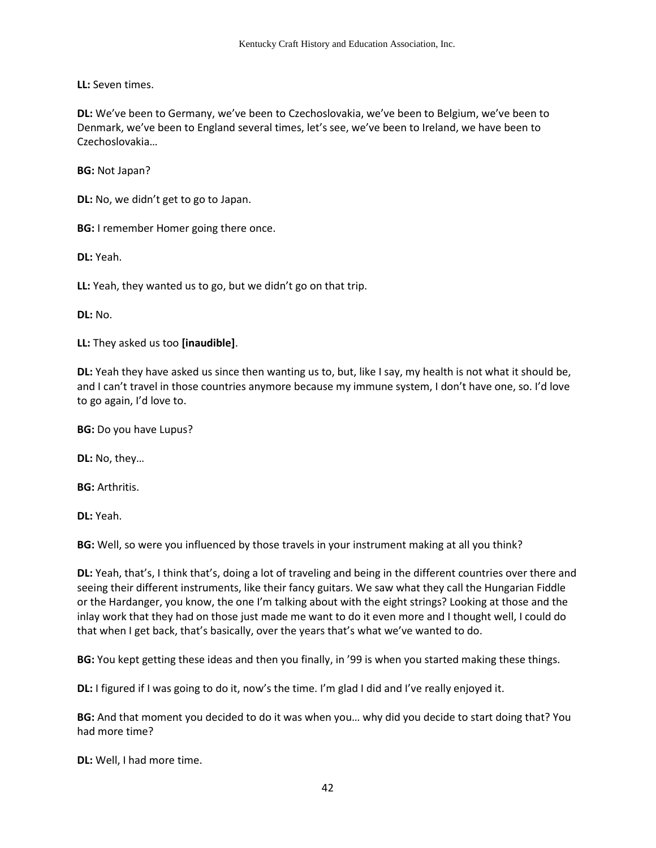**LL:** Seven times.

**DL:** We've been to Germany, we've been to Czechoslovakia, we've been to Belgium, we've been to Denmark, we've been to England several times, let's see, we've been to Ireland, we have been to Czechoslovakia…

**BG:** Not Japan?

**DL:** No, we didn't get to go to Japan.

**BG:** I remember Homer going there once.

**DL:** Yeah.

**LL:** Yeah, they wanted us to go, but we didn't go on that trip.

**DL:** No.

**LL:** They asked us too **[inaudible]**.

**DL:** Yeah they have asked us since then wanting us to, but, like I say, my health is not what it should be, and I can't travel in those countries anymore because my immune system, I don't have one, so. I'd love to go again, I'd love to.

**BG:** Do you have Lupus?

**DL:** No, they…

**BG:** Arthritis.

**DL:** Yeah.

**BG:** Well, so were you influenced by those travels in your instrument making at all you think?

**DL:** Yeah, that's, I think that's, doing a lot of traveling and being in the different countries over there and seeing their different instruments, like their fancy guitars. We saw what they call the Hungarian Fiddle or the Hardanger, you know, the one I'm talking about with the eight strings? Looking at those and the inlay work that they had on those just made me want to do it even more and I thought well, I could do that when I get back, that's basically, over the years that's what we've wanted to do.

**BG:** You kept getting these ideas and then you finally, in '99 is when you started making these things.

**DL:** I figured if I was going to do it, now's the time. I'm glad I did and I've really enjoyed it.

**BG:** And that moment you decided to do it was when you… why did you decide to start doing that? You had more time?

**DL:** Well, I had more time.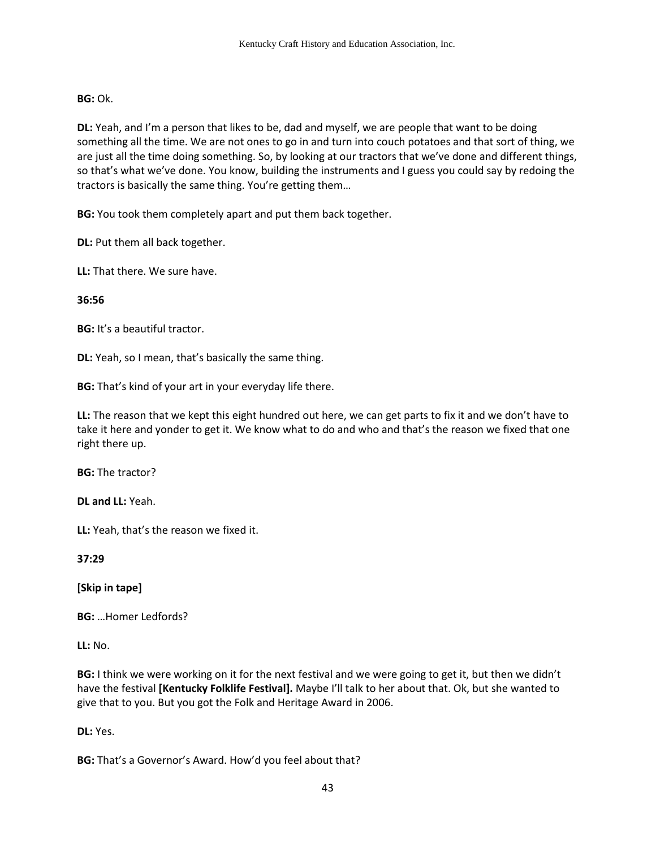### **BG:** Ok.

**DL:** Yeah, and I'm a person that likes to be, dad and myself, we are people that want to be doing something all the time. We are not ones to go in and turn into couch potatoes and that sort of thing, we are just all the time doing something. So, by looking at our tractors that we've done and different things, so that's what we've done. You know, building the instruments and I guess you could say by redoing the tractors is basically the same thing. You're getting them…

**BG:** You took them completely apart and put them back together.

**DL:** Put them all back together.

**LL:** That there. We sure have.

### **36:56**

**BG:** It's a beautiful tractor.

**DL:** Yeah, so I mean, that's basically the same thing.

**BG:** That's kind of your art in your everyday life there.

**LL:** The reason that we kept this eight hundred out here, we can get parts to fix it and we don't have to take it here and yonder to get it. We know what to do and who and that's the reason we fixed that one right there up.

**BG:** The tractor?

**DL and LL:** Yeah.

**LL:** Yeah, that's the reason we fixed it.

**37:29** 

**[Skip in tape]** 

**BG:** …Homer Ledfords?

**LL:** No.

**BG:** I think we were working on it for the next festival and we were going to get it, but then we didn't have the festival **[Kentucky Folklife Festival].** Maybe I'll talk to her about that. Ok, but she wanted to give that to you. But you got the Folk and Heritage Award in 2006.

**DL:** Yes.

**BG:** That's a Governor's Award. How'd you feel about that?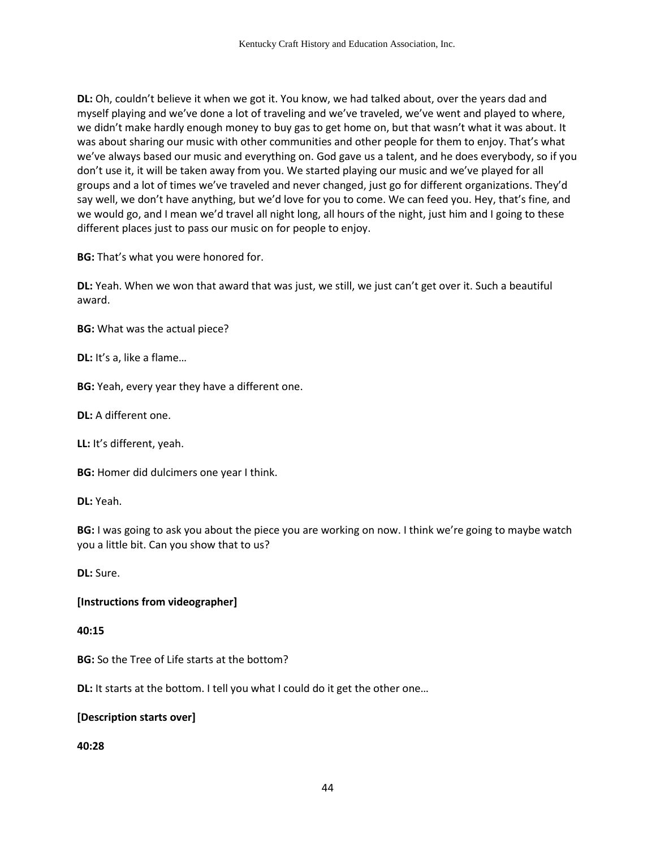**DL:** Oh, couldn't believe it when we got it. You know, we had talked about, over the years dad and myself playing and we've done a lot of traveling and we've traveled, we've went and played to where, we didn't make hardly enough money to buy gas to get home on, but that wasn't what it was about. It was about sharing our music with other communities and other people for them to enjoy. That's what we've always based our music and everything on. God gave us a talent, and he does everybody, so if you don't use it, it will be taken away from you. We started playing our music and we've played for all groups and a lot of times we've traveled and never changed, just go for different organizations. They'd say well, we don't have anything, but we'd love for you to come. We can feed you. Hey, that's fine, and we would go, and I mean we'd travel all night long, all hours of the night, just him and I going to these different places just to pass our music on for people to enjoy.

**BG:** That's what you were honored for.

**DL:** Yeah. When we won that award that was just, we still, we just can't get over it. Such a beautiful award.

**BG:** What was the actual piece?

**DL:** It's a, like a flame…

**BG:** Yeah, every year they have a different one.

**DL:** A different one.

**LL:** It's different, yeah.

**BG:** Homer did dulcimers one year I think.

**DL:** Yeah.

**BG:** I was going to ask you about the piece you are working on now. I think we're going to maybe watch you a little bit. Can you show that to us?

**DL:** Sure.

### **[Instructions from videographer]**

#### **40:15**

**BG:** So the Tree of Life starts at the bottom?

**DL:** It starts at the bottom. I tell you what I could do it get the other one…

### **[Description starts over]**

**40:28**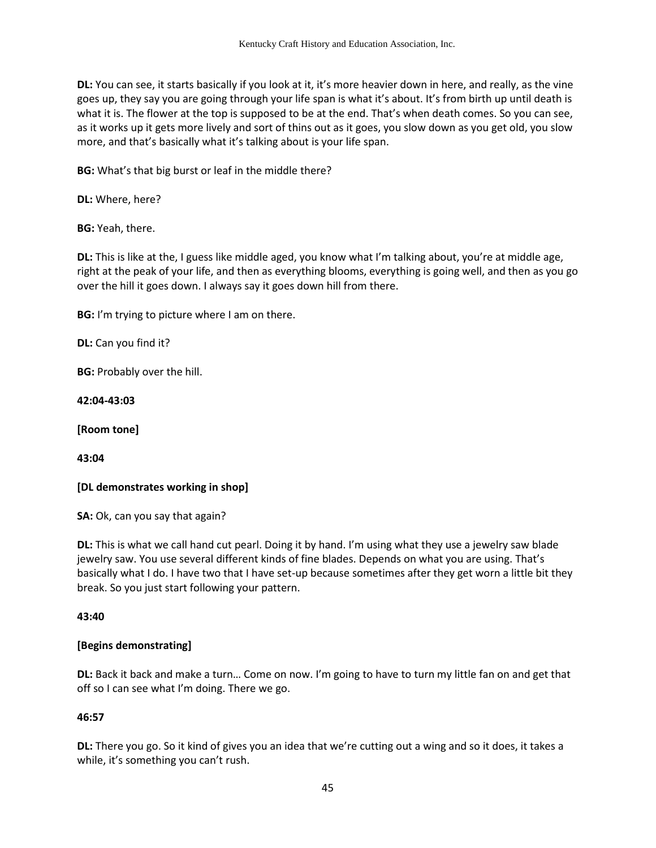**DL:** You can see, it starts basically if you look at it, it's more heavier down in here, and really, as the vine goes up, they say you are going through your life span is what it's about. It's from birth up until death is what it is. The flower at the top is supposed to be at the end. That's when death comes. So you can see, as it works up it gets more lively and sort of thins out as it goes, you slow down as you get old, you slow more, and that's basically what it's talking about is your life span.

**BG:** What's that big burst or leaf in the middle there?

**DL:** Where, here?

**BG:** Yeah, there.

**DL:** This is like at the, I guess like middle aged, you know what I'm talking about, you're at middle age, right at the peak of your life, and then as everything blooms, everything is going well, and then as you go over the hill it goes down. I always say it goes down hill from there.

**BG:** I'm trying to picture where I am on there.

**DL:** Can you find it?

**BG:** Probably over the hill.

**42:04-43:03** 

**[Room tone]** 

**43:04** 

**[DL demonstrates working in shop]** 

**SA:** Ok, can you say that again?

**DL:** This is what we call hand cut pearl. Doing it by hand. I'm using what they use a jewelry saw blade jewelry saw. You use several different kinds of fine blades. Depends on what you are using. That's basically what I do. I have two that I have set-up because sometimes after they get worn a little bit they break. So you just start following your pattern.

### **43:40**

# **[Begins demonstrating]**

**DL:** Back it back and make a turn… Come on now. I'm going to have to turn my little fan on and get that off so I can see what I'm doing. There we go.

# **46:57**

**DL:** There you go. So it kind of gives you an idea that we're cutting out a wing and so it does, it takes a while, it's something you can't rush.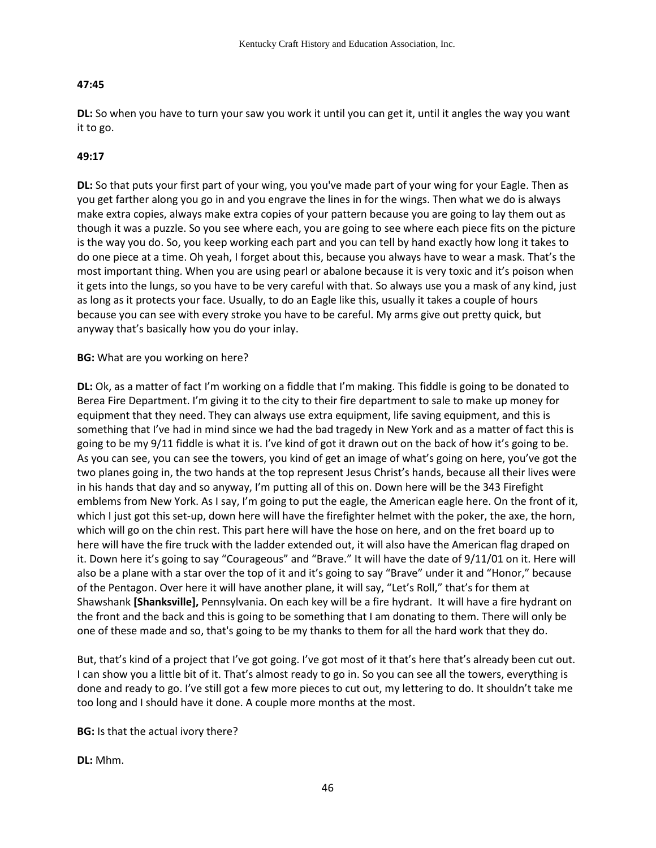# **47:45**

**DL:** So when you have to turn your saw you work it until you can get it, until it angles the way you want it to go.

# **49:17**

**DL:** So that puts your first part of your wing, you you've made part of your wing for your Eagle. Then as you get farther along you go in and you engrave the lines in for the wings. Then what we do is always make extra copies, always make extra copies of your pattern because you are going to lay them out as though it was a puzzle. So you see where each, you are going to see where each piece fits on the picture is the way you do. So, you keep working each part and you can tell by hand exactly how long it takes to do one piece at a time. Oh yeah, I forget about this, because you always have to wear a mask. That's the most important thing. When you are using pearl or abalone because it is very toxic and it's poison when it gets into the lungs, so you have to be very careful with that. So always use you a mask of any kind, just as long as it protects your face. Usually, to do an Eagle like this, usually it takes a couple of hours because you can see with every stroke you have to be careful. My arms give out pretty quick, but anyway that's basically how you do your inlay.

### **BG:** What are you working on here?

**DL:** Ok, as a matter of fact I'm working on a fiddle that I'm making. This fiddle is going to be donated to Berea Fire Department. I'm giving it to the city to their fire department to sale to make up money for equipment that they need. They can always use extra equipment, life saving equipment, and this is something that I've had in mind since we had the bad tragedy in New York and as a matter of fact this is going to be my 9/11 fiddle is what it is. I've kind of got it drawn out on the back of how it's going to be. As you can see, you can see the towers, you kind of get an image of what's going on here, you've got the two planes going in, the two hands at the top represent Jesus Christ's hands, because all their lives were in his hands that day and so anyway, I'm putting all of this on. Down here will be the 343 Firefight emblems from New York. As I say, I'm going to put the eagle, the American eagle here. On the front of it, which I just got this set-up, down here will have the firefighter helmet with the poker, the axe, the horn, which will go on the chin rest. This part here will have the hose on here, and on the fret board up to here will have the fire truck with the ladder extended out, it will also have the American flag draped on it. Down here it's going to say "Courageous" and "Brave." It will have the date of 9/11/01 on it. Here will also be a plane with a star over the top of it and it's going to say "Brave" under it and "Honor," because of the Pentagon. Over here it will have another plane, it will say, "Let's Roll," that's for them at Shawshank **[Shanksville],** Pennsylvania. On each key will be a fire hydrant. It will have a fire hydrant on the front and the back and this is going to be something that I am donating to them. There will only be one of these made and so, that's going to be my thanks to them for all the hard work that they do.

But, that's kind of a project that I've got going. I've got most of it that's here that's already been cut out. I can show you a little bit of it. That's almost ready to go in. So you can see all the towers, everything is done and ready to go. I've still got a few more pieces to cut out, my lettering to do. It shouldn't take me too long and I should have it done. A couple more months at the most.

**BG:** Is that the actual ivory there?

**DL:** Mhm.